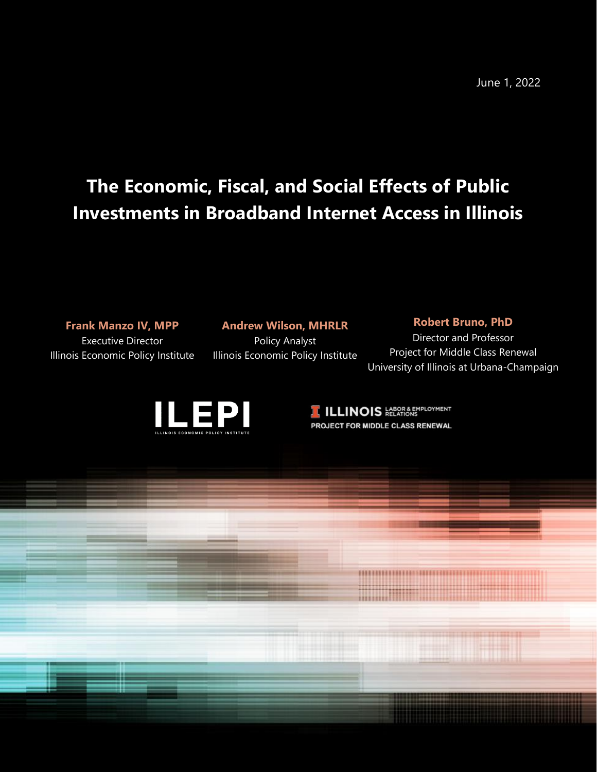June 1, 2022

## **The Economic, Fiscal, and Social Effects of Public Investments in Broadband Internet Access in Illinois**

## **Frank Manzo IV, MPP**

Executive Director Illinois Economic Policy Institute

#### **Andrew Wilson, MHRLR**

Policy Analyst Illinois Economic Policy Institute

#### **Robert Bruno, PhD**

Director and Professor Project for Middle Class Renewal University of Illinois at Urbana-Champaign



**ILLINOIS ELATIONS** PROJECT FOR MIDDLE CLASS RENEWAL

\*\*\*\*\*\*\*\*\*\*\*\*\*\*\*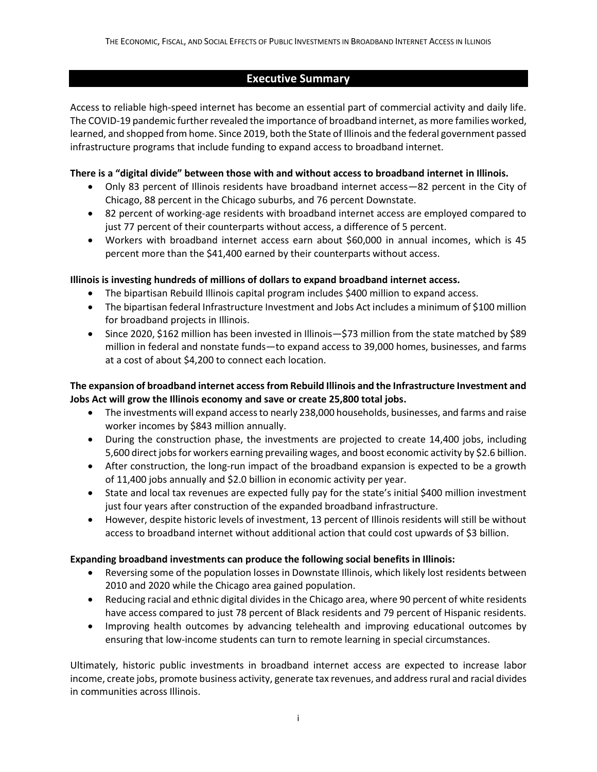## **Executive Summary**

Access to reliable high-speed internet has become an essential part of commercial activity and daily life. The COVID-19 pandemic further revealed the importance of broadband internet, as more families worked, learned, and shopped from home. Since 2019, both the State of Illinois and the federal government passed infrastructure programs that include funding to expand access to broadband internet.

## **There is a "digital divide" between those with and without access to broadband internet in Illinois.**

- Only 83 percent of Illinois residents have broadband internet access—82 percent in the City of Chicago, 88 percent in the Chicago suburbs, and 76 percent Downstate.
- 82 percent of working-age residents with broadband internet access are employed compared to just 77 percent of their counterparts without access, a difference of 5 percent.
- Workers with broadband internet access earn about \$60,000 in annual incomes, which is 45 percent more than the \$41,400 earned by their counterparts without access.

## **Illinois is investing hundreds of millions of dollars to expand broadband internet access.**

- The bipartisan Rebuild Illinois capital program includes \$400 million to expand access.
- The bipartisan federal Infrastructure Investment and Jobs Act includes a minimum of \$100 million for broadband projects in Illinois.
- Since 2020, \$162 million has been invested in Illinois—\$73 million from the state matched by \$89 million in federal and nonstate funds—to expand access to 39,000 homes, businesses, and farms at a cost of about \$4,200 to connect each location.

## **The expansion of broadband internet accessfrom Rebuild Illinois and the Infrastructure Investment and Jobs Act will grow the Illinois economy and save or create 25,800 total jobs.**

- The investments will expand access to nearly 238,000 households, businesses, and farms and raise worker incomes by \$843 million annually.
- During the construction phase, the investments are projected to create 14,400 jobs, including 5,600 direct jobsfor workers earning prevailing wages, and boost economic activity by \$2.6 billion.
- After construction, the long-run impact of the broadband expansion is expected to be a growth of 11,400 jobs annually and \$2.0 billion in economic activity per year.
- State and local tax revenues are expected fully pay for the state's initial \$400 million investment just four years after construction of the expanded broadband infrastructure.
- However, despite historic levels of investment, 13 percent of Illinois residents will still be without access to broadband internet without additional action that could cost upwards of \$3 billion.

## **Expanding broadband investments can produce the following social benefits in Illinois:**

- Reversing some of the population losses in Downstate Illinois, which likely lost residents between 2010 and 2020 while the Chicago area gained population.
- Reducing racial and ethnic digital divides in the Chicago area, where 90 percent of white residents have access compared to just 78 percent of Black residents and 79 percent of Hispanic residents.
- Improving health outcomes by advancing telehealth and improving educational outcomes by ensuring that low-income students can turn to remote learning in special circumstances.

Ultimately, historic public investments in broadband internet access are expected to increase labor income, create jobs, promote business activity, generate tax revenues, and address rural and racial divides in communities across Illinois.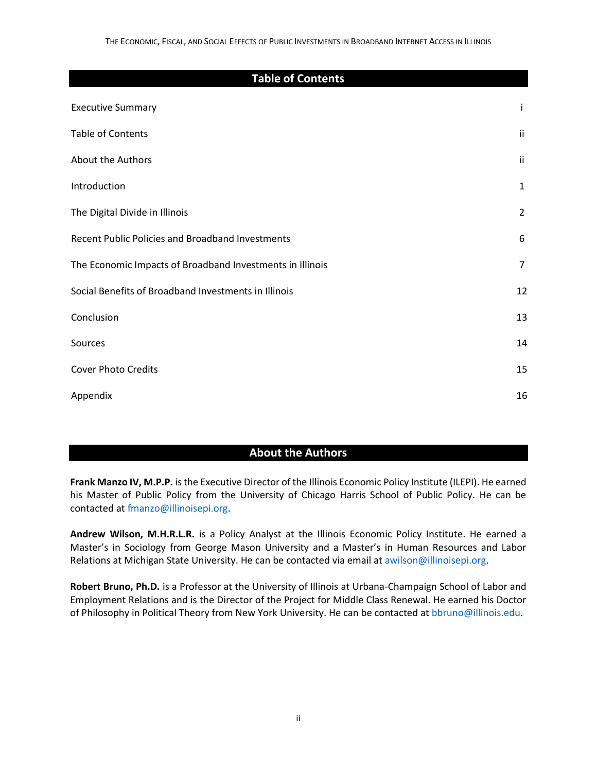# **Table of Contents** Executive Summary i Table of Contents ii About the Authors iii Introduction 1 The Digital Divide in Illinois **2** 2 Recent Public Policies and Broadband Investments 6 The Economic Impacts of Broadband Investments in Illinois 7 Social Benefits of Broadband Investments in Illinois 12 **Conclusion** 13 Sources and the set of the set of the set of the set of the set of the set of the set of the set of the set of the set of the set of the set of the set of the set of the set of the set of the set of the set of the set of t Cover Photo Credits 15 Appendix and the contract of the contract of the contract of the contract of the contract of the contract of the contract of the contract of the contract of the contract of the contract of the contract of the contract of t

## **About the Authors**

**Frank Manzo IV, M.P.P.** is the Executive Director of the Illinois Economic Policy Institute (ILEPI). He earned his Master of Public Policy from the University of Chicago Harris School of Public Policy. He can be contacted a[t fmanzo@illinoisepi.org.](mailto:fmanzo@illinoisepi.org)

**Andrew Wilson, M.H.R.L.R.** is a Policy Analyst at the Illinois Economic Policy Institute. He earned a Master's in Sociology from George Mason University and a Master's in Human Resources and Labor Relations at Michigan State University. He can be contacted via email a[t awilson@illinoisepi.org.](mailto:awilson@illinoisepi.org)

**Robert Bruno, Ph.D.** is a Professor at the University of Illinois at Urbana-Champaign School of Labor and Employment Relations and is the Director of the Project for Middle Class Renewal. He earned his Doctor of Philosophy in Political Theory from New York University. He can be contacted at [bbruno@illinois.edu.](mailto:bbruno@illinois.edu)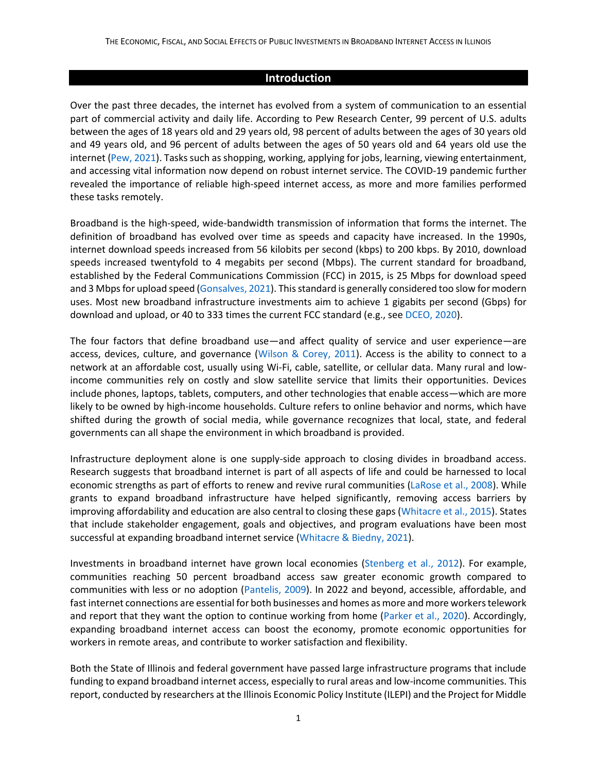#### **Introduction**

Over the past three decades, the internet has evolved from a system of communication to an essential part of commercial activity and daily life. According to Pew Research Center, 99 percent of U.S. adults between the ages of 18 years old and 29 years old, 98 percent of adults between the ages of 30 years old and 49 years old, and 96 percent of adults between the ages of 50 years old and 64 years old use the internet [\(Pew, 2021\)](https://www.pewresearch.org/internet/fact-sheet/internet-broadband/). Tasks such as shopping, working, applying for jobs, learning, viewing entertainment, and accessing vital information now depend on robust internet service. The COVID-19 pandemic further revealed the importance of reliable high-speed internet access, as more and more families performed these tasks remotely.

Broadband is the high-speed, wide-bandwidth transmission of information that forms the internet. The definition of broadband has evolved over time as speeds and capacity have increased. In the 1990s, internet download speeds increased from 56 kilobits per second (kbps) to 200 kbps. By 2010, download speeds increased twentyfold to 4 megabits per second (Mbps). The current standard for broadband, established by the Federal Communications Commission (FCC) in 2015, is 25 Mbps for download speed and 3 Mbps for upload speed [\(Gonsalves, 2021\)](https://muninetworks.org/content/why-253-broadband-not-sufficient). This standard is generally considered too slow for modern uses. Most new broadband infrastructure investments aim to achieve 1 gigabits per second (Gbps) for download and upload, or 40 to 333 times the current FCC standard (e.g., se[e DCEO, 2020\)](https://www2.illinois.gov/dceo/ConnectIllinois/Documents/Connect%20Illinois%20Rd%201%20Summaries.pdf).

The four factors that define broadband use—and affect quality of service and user experience—are access, devices, culture, and governance [\(Wilson & Corey, 2011\)](https://www.researchgate.net/publication/233310727_Approaching_Ubiquity_Global_Trends_and_Issues_in_ICT_Access_and_Use). Access is the ability to connect to a network at an affordable cost, usually using Wi-Fi, cable, satellite, or cellular data. Many rural and lowincome communities rely on costly and slow satellite service that limits their opportunities. Devices include phones, laptops, tablets, computers, and other technologies that enable access—which are more likely to be owned by high-income households. Culture refers to online behavior and norms, which have shifted during the growth of social media, while governance recognizes that local, state, and federal governments can all shape the environment in which broadband is provided.

Infrastructure deployment alone is one supply-side approach to closing divides in broadband access. Research suggests that broadband internet is part of all aspects of life and could be harnessed to local economic strengths as part of efforts to renew and revive rural communities [\(LaRose et al., 2008\)](https://www.sciencedirect.com/science/article/pii/S0308596107000444?casa_token=Z93MG-sjDdMAAAAA:A7wcrqLJpjllxwtJ_WqGG8UN9AHd5f1ICMU9D53_KRsez-I5ihgjmd7NRB5aNC5NNCBWRDwt0Q). While grants to expand broadband infrastructure have helped significantly, removing access barriers by improving affordability and education are also central to closing these gaps (Whitacre [et al., 2015\)](https://www.sciencedirect.com/science/article/pii/S0740624X15000325). States that include stakeholder engagement, goals and objectives, and program evaluations have been most successful at expanding broadband internet service (Whitacre [& Biedny, 2021\)](https://theconversation.com/is-your-state-ready-to-handle-the-influx-of-federal-funds-for-expanding-broadband-172131).

Investments in broadband internet have grown local economies (Stenberg [et al., 2012\)](https://www.ers.usda.gov/webdocs/publications/46200/9335_err78_1_.pdf?v=7719). For example, communities reaching 50 percent broadband access saw greater economic growth compared to communities with less or no adoption [\(Pantelis, 2009\)](https://www.sciencedirect.com/science/article/pii/S0308596109000767?casa_token=sAYjljbd3AsAAAAA:q2ZSNhIWo8yWYi5kul4S-EBNm4B0KUtuC5cJLADbIgBQcSIWGFz1QslwVZBVfGIUTteDDJCV1A). In 2022 and beyond, accessible, affordable, and fast internet connections are essential for both businesses and homes as more and more workers telework and report that they want the option to continue working from home [\(Parker et al., 2020\)](https://www.pewresearch.org/social-trends/2020/12/09/how-the-coronavirus-outbreak-has-and-hasnt-changed-the-way-americans-work/). Accordingly, expanding broadband internet access can boost the economy, promote economic opportunities for workers in remote areas, and contribute to worker satisfaction and flexibility.

Both the State of Illinois and federal government have passed large infrastructure programs that include funding to expand broadband internet access, especially to rural areas and low-income communities. This report, conducted by researchers at the Illinois Economic Policy Institute (ILEPI) and the Project for Middle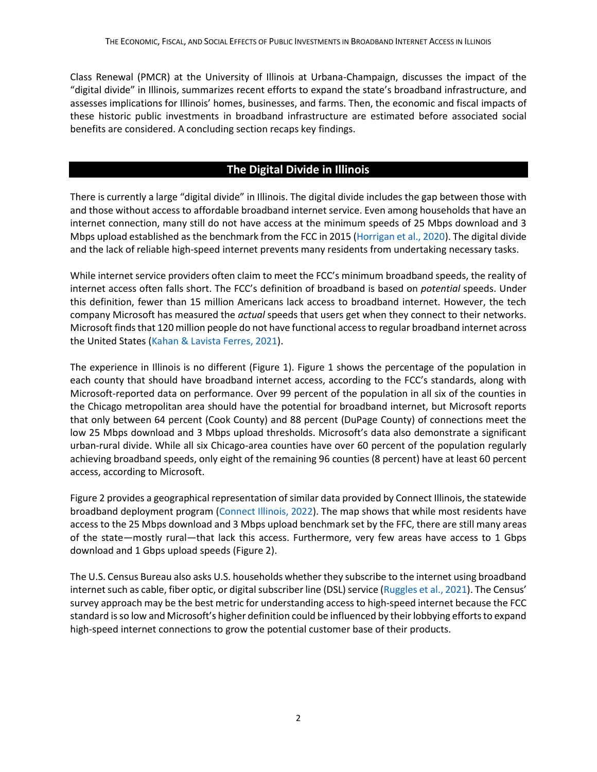Class Renewal (PMCR) at the University of Illinois at Urbana-Champaign, discusses the impact of the "digital divide" in Illinois, summarizes recent efforts to expand the state's broadband infrastructure, and assesses implications for Illinois' homes, businesses, and farms. Then, the economic and fiscal impacts of these historic public investments in broadband infrastructure are estimated before associated social benefits are considered. A concluding section recaps key findings.

## **The Digital Divide in Illinois**

There is currently a large "digital divide" in Illinois. The digital divide includes the gap between those with and those without access to affordable broadband internet service. Even among households that have an internet connection, many still do not have access at the minimum speeds of 25 Mbps download and 3 Mbps upload established as the benchmark from the FCC in 2015 [\(Horrigan et al., 2020\)](https://www2.illinois.gov/dceo/ConnectIllinois/Documents/BAC%20Broadband%20Affordability%20Study.pdf?utm_source=sendgrid&utm_medium=email&utm_campaign=Newsletters). The digital divide and the lack of reliable high-speed internet prevents many residents from undertaking necessary tasks.

While internet service providers often claim to meet the FCC's minimum broadband speeds, the reality of internet access often falls short. The FCC's definition of broadband is based on *potential* speeds. Under this definition, fewer than 15 million Americans lack access to broadband internet. However, the tech company Microsoft has measured the *actual* speeds that users get when they connect to their networks. Microsoft finds that 120 million people do not have functional access to regular broadband internet across the United States [\(Kahan & Lavista Ferres, 2021\)](https://github.com/microsoft/USBroadbandUsagePercentages).

The experience in Illinois is no different (Figure 1). Figure 1 shows the percentage of the population in each county that should have broadband internet access, according to the FCC's standards, along with Microsoft-reported data on performance. Over 99 percent of the population in all six of the counties in the Chicago metropolitan area should have the potential for broadband internet, but Microsoft reports that only between 64 percent (Cook County) and 88 percent (DuPage County) of connections meet the low 25 Mbps download and 3 Mbps upload thresholds. Microsoft's data also demonstrate a significant urban-rural divide. While all six Chicago-area counties have over 60 percent of the population regularly achieving broadband speeds, only eight of the remaining 96 counties (8 percent) have at least 60 percent access, according to Microsoft.

Figure 2 provides a geographical representation of similar data provided by Connect Illinois, the statewide broadband deployment program [\(Connect Illinois, 2022\)](https://gis.connectednation.org/portal/apps/webappviewer/index.html?id=caedfe7ce8924660a4ce62de6a75a7fd). The map shows that while most residents have access to the 25 Mbps download and 3 Mbps upload benchmark set by the FFC, there are still many areas of the state—mostly rural—that lack this access. Furthermore, very few areas have access to 1 Gbps download and 1 Gbps upload speeds (Figure 2).

The U.S. Census Bureau also asks U.S. households whether they subscribe to the internet using broadband internet such as cable, fiber optic, or digital subscriber line (DSL) service [\(Ruggles et al., 2021](https://usa.ipums.org/usa/cite.shtml)). The Census' survey approach may be the best metric for understanding access to high-speed internet because the FCC standard is so low and Microsoft's higher definition could be influenced by their lobbying efforts to expand high-speed internet connections to grow the potential customer base of their products.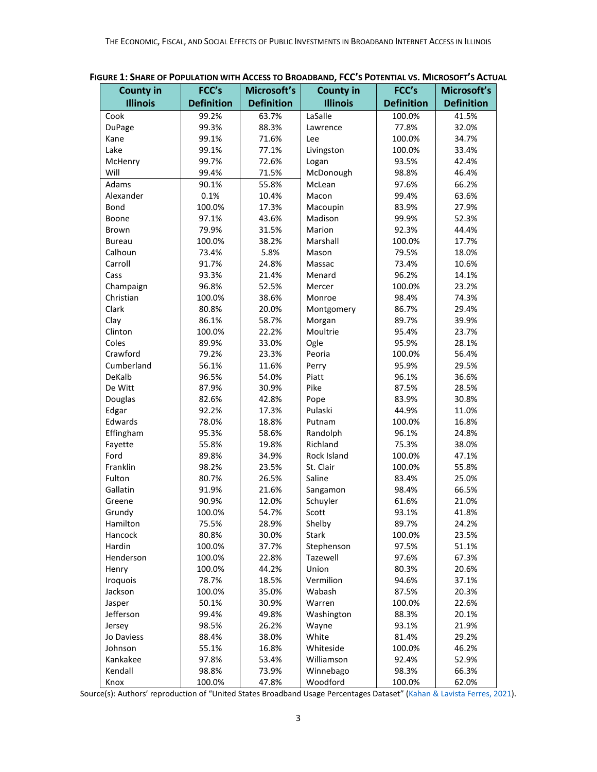| <b>County in</b> | FCC's             | Microsoft's       | <b>County in</b> | FCC's             | Microsoft's       |
|------------------|-------------------|-------------------|------------------|-------------------|-------------------|
| <b>Illinois</b>  | <b>Definition</b> | <b>Definition</b> | <b>Illinois</b>  | <b>Definition</b> | <b>Definition</b> |
| Cook             | 99.2%             | 63.7%             | LaSalle          | 100.0%            | 41.5%             |
| DuPage           | 99.3%             | 88.3%             | Lawrence         | 77.8%             | 32.0%             |
| Kane             | 99.1%             | 71.6%             | Lee              | 100.0%            | 34.7%             |
| Lake             | 99.1%             | 77.1%             | Livingston       | 100.0%            | 33.4%             |
| McHenry          | 99.7%             | 72.6%             | Logan            | 93.5%             | 42.4%             |
| Will             | 99.4%             | 71.5%             | McDonough        | 98.8%             | 46.4%             |
| Adams            | 90.1%             | 55.8%             | McLean           | 97.6%             | 66.2%             |
| Alexander        | 0.1%              | 10.4%             | Macon            | 99.4%             | 63.6%             |
| Bond             | 100.0%            | 17.3%             | Macoupin         | 83.9%             | 27.9%             |
| Boone            | 97.1%             | 43.6%             | Madison          | 99.9%             | 52.3%             |
| <b>Brown</b>     | 79.9%             | 31.5%             | Marion           | 92.3%             | 44.4%             |
| <b>Bureau</b>    | 100.0%            | 38.2%             | Marshall         | 100.0%            | 17.7%             |
| Calhoun          | 73.4%             | 5.8%              | Mason            | 79.5%             | 18.0%             |
| Carroll          | 91.7%             | 24.8%             | Massac           | 73.4%             | 10.6%             |
| Cass             | 93.3%             | 21.4%             | Menard           | 96.2%             | 14.1%             |
| Champaign        | 96.8%             | 52.5%             | Mercer           | 100.0%            | 23.2%             |
| Christian        | 100.0%            | 38.6%             | Monroe           | 98.4%             | 74.3%             |
| Clark            | 80.8%             | 20.0%             | Montgomery       | 86.7%             | 29.4%             |
| Clay             | 86.1%             | 58.7%             | Morgan           | 89.7%             | 39.9%             |
| Clinton          | 100.0%            | 22.2%             | Moultrie         | 95.4%             | 23.7%             |
| Coles            | 89.9%             | 33.0%             | Ogle             | 95.9%             | 28.1%             |
| Crawford         | 79.2%             | 23.3%             | Peoria           | 100.0%            | 56.4%             |
| Cumberland       | 56.1%             | 11.6%             | Perry            | 95.9%             | 29.5%             |
| DeKalb           | 96.5%             | 54.0%             | Piatt            | 96.1%             | 36.6%             |
| De Witt          | 87.9%             | 30.9%             | Pike             | 87.5%             | 28.5%             |
| Douglas          | 82.6%             | 42.8%             | Pope             | 83.9%             | 30.8%             |
| Edgar            | 92.2%             | 17.3%             | Pulaski          | 44.9%             | 11.0%             |
| Edwards          | 78.0%             | 18.8%             | Putnam           | 100.0%            | 16.8%             |
| Effingham        | 95.3%             | 58.6%             | Randolph         | 96.1%             | 24.8%             |
| Fayette          | 55.8%             | 19.8%             | Richland         | 75.3%             | 38.0%             |
| Ford             | 89.8%             | 34.9%             | Rock Island      | 100.0%            | 47.1%             |
| Franklin         | 98.2%             | 23.5%             | St. Clair        | 100.0%            | 55.8%             |
| Fulton           | 80.7%             | 26.5%             | Saline           | 83.4%             | 25.0%             |
| Gallatin         | 91.9%             | 21.6%             | Sangamon         | 98.4%             | 66.5%             |
| Greene           | 90.9%             | 12.0%             | Schuyler         | 61.6%             | 21.0%             |
| Grundy           | 100.0%            | 54.7%             | Scott            | 93.1%             | 41.8%             |
| Hamilton         | 75.5%             | 28.9%             | Shelby           | 89.7%             | 24.2%             |
| Hancock          | 80.8%             | 30.0%             | Stark            | 100.0%            | 23.5%             |
| Hardin           | 100.0%            | 37.7%             | Stephenson       | 97.5%             | 51.1%             |
| Henderson        | 100.0%            | 22.8%             | Tazewell         | 97.6%             | 67.3%             |
| Henry            | 100.0%            | 44.2%             | Union            | 80.3%             | 20.6%             |
| Iroquois         | 78.7%             | 18.5%             | Vermilion        | 94.6%             | 37.1%             |
| Jackson          | 100.0%            | 35.0%             | Wabash           | 87.5%             | 20.3%             |
| Jasper           | 50.1%             | 30.9%             | Warren           | 100.0%            | 22.6%             |
| Jefferson        | 99.4%             | 49.8%             | Washington       | 88.3%             | 20.1%             |
| Jersey           | 98.5%             | 26.2%             | Wayne            | 93.1%             | 21.9%             |
| Jo Daviess       | 88.4%             | 38.0%             | White            | 81.4%             | 29.2%             |
| Johnson          | 55.1%             | 16.8%             | Whiteside        | 100.0%            | 46.2%             |
| Kankakee         | 97.8%             | 53.4%             | Williamson       | 92.4%             | 52.9%             |
| Kendall          | 98.8%             | 73.9%             | Winnebago        | 98.3%             | 66.3%             |
| Knox             | 100.0%            | 47.8%             | Woodford         | 100.0%            | 62.0%             |

Source(s): Authors' reproduction of "United States Broadband Usage Percentages Dataset" [\(Kahan & Lavista Ferres, 2021\)](https://github.com/microsoft/USBroadbandUsagePercentages).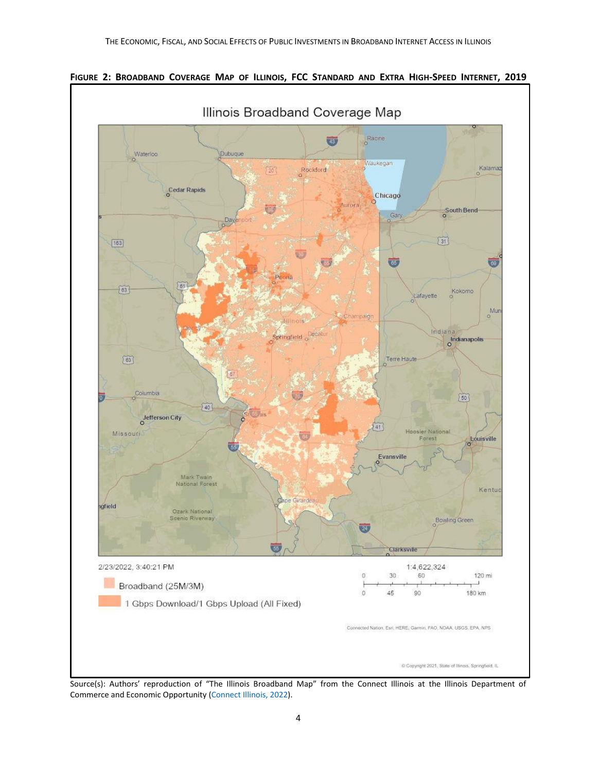

FIGURE 2: BROADBAND COVERAGE MAP OF ILLINOIS, FCC STANDARD AND EXTRA HIGH-SPEED INTERNET, 2019

Source(s): Authors' reproduction of "The Illinois Broadband Map" from the Connect Illinois at the Illinois Department of Commerce and Economic Opportunity [\(Connect Illinois, 2022\)](https://gis.connectednation.org/portal/apps/webappviewer/index.html?id=caedfe7ce8924660a4ce62de6a75a7fd).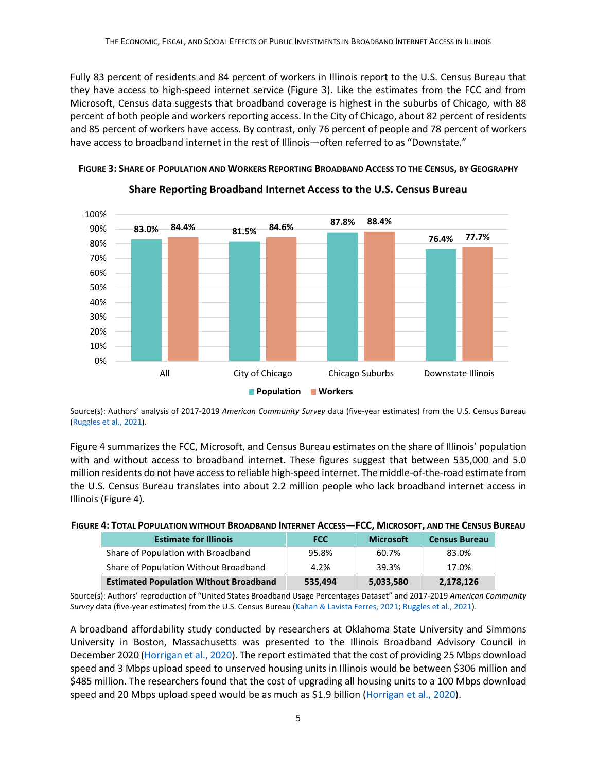Fully 83 percent of residents and 84 percent of workers in Illinois report to the U.S. Census Bureau that they have access to high-speed internet service (Figure 3). Like the estimates from the FCC and from Microsoft, Census data suggests that broadband coverage is highest in the suburbs of Chicago, with 88 percent of both people and workers reporting access. In the City of Chicago, about 82 percent of residents and 85 percent of workers have access. By contrast, only 76 percent of people and 78 percent of workers have access to broadband internet in the rest of Illinois—often referred to as "Downstate."



FIGURE 3: SHARE OF POPULATION AND WORKERS REPORTING BROADBAND ACCESS TO THE CENSUS, BY GEOGRAPHY

Source(s): Authors' analysis of 2017-2019 *American Community Survey* data (five-year estimates) from the U.S. Census Bureau [\(Ruggles et al., 2021\)](https://usa.ipums.org/usa/cite.shtml).

Figure 4 summarizes the FCC, Microsoft, and Census Bureau estimates on the share of Illinois' population with and without access to broadband internet. These figures suggest that between 535,000 and 5.0 million residents do not have access to reliable high-speed internet. The middle-of-the-road estimate from the U.S. Census Bureau translates into about 2.2 million people who lack broadband internet access in Illinois (Figure 4).

| FIGURE 4: TOTAL POPULATION WITHOUT BROADBAND INTERNET ACCESS-FCC, MICROSOFT, AND THE CENSUS BUREAU |  |  |
|----------------------------------------------------------------------------------------------------|--|--|
|                                                                                                    |  |  |

| <b>Estimate for Illinois</b>                  | <b>FCC</b> | <b>Microsoft</b> | <b>Census Bureau</b> |
|-----------------------------------------------|------------|------------------|----------------------|
| Share of Population with Broadband            | 95.8%      | 60.7%            | 83.0%                |
| Share of Population Without Broadband         | 4.2%       | 39.3%            | 17.0%                |
| <b>Estimated Population Without Broadband</b> | 535,494    | 5,033,580        | 2,178,126            |

Source(s): Authors' reproduction of "United States Broadband Usage Percentages Dataset" and 2017-2019 *American Community Survey* data (five-year estimates) from the U.S. Census Bureau [\(Kahan & Lavista Ferres, 2021;](https://github.com/microsoft/USBroadbandUsagePercentages) [Ruggles et al., 2021\)](https://usa.ipums.org/usa/cite.shtml).

A broadband affordability study conducted by researchers at Oklahoma State University and Simmons University in Boston, Massachusetts was presented to the Illinois Broadband Advisory Council in December 2020 [\(Horrigan et al., 2020\)](https://www2.illinois.gov/dceo/ConnectIllinois/Documents/BAC%20Broadband%20Affordability%20Study.pdf?utm_source=sendgrid&utm_medium=email&utm_campaign=Newsletters). The report estimated that the cost of providing 25 Mbps download speed and 3 Mbps upload speed to unserved housing units in Illinois would be between \$306 million and \$485 million. The researchers found that the cost of upgrading all housing units to a 100 Mbps download speed and 20 Mbps upload speed would be as much as \$1.9 billion [\(Horrigan et al., 2020\)](https://www2.illinois.gov/dceo/ConnectIllinois/Documents/BAC%20Broadband%20Affordability%20Study.pdf?utm_source=sendgrid&utm_medium=email&utm_campaign=Newsletters).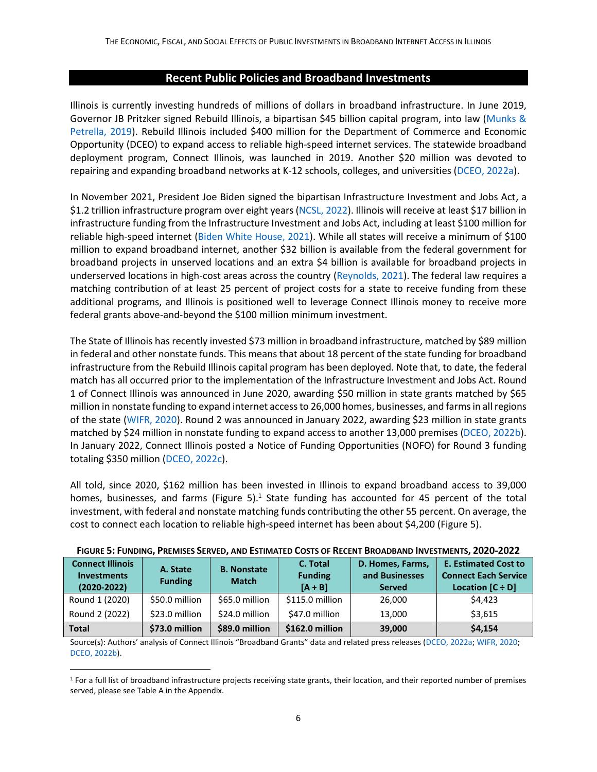#### **Recent Public Policies and Broadband Investments**

Illinois is currently investing hundreds of millions of dollars in broadband infrastructure. In June 2019, Governor JB Pritzker signed Rebuild Illinois, a bipartisan \$45 billion capital program, into law [\(Munks &](https://www.chicagotribune.com/politics/ct-jb-pritzker-gambling-construction-bills-gas-tax-signed-20190628-inux5umelbewje5zzdrpphz3ze-story.html)  [Petrella, 2019\)](https://www.chicagotribune.com/politics/ct-jb-pritzker-gambling-construction-bills-gas-tax-signed-20190628-inux5umelbewje5zzdrpphz3ze-story.html). Rebuild Illinois included \$400 million for the Department of Commerce and Economic Opportunity (DCEO) to expand access to reliable high-speed internet services. The statewide broadband deployment program, Connect Illinois, was launched in 2019. Another \$20 million was devoted to repairing and expanding broadband networks at K-12 schools, colleges, and universities [\(DCEO, 2022a\)](https://www2.illinois.gov/dceo/ConnectIllinois/Pages/default.aspx).

In November 2021, President Joe Biden signed the bipartisan Infrastructure Investment and Jobs Act, a \$1.2 trillion infrastructure program over eight years [\(NCSL, 2022\)](https://www.ncsl.org/ncsl-in-dc/publications-and-resources/infrastructure-investment-and-jobs-act-implementation-and-resources.aspx). Illinois will receive at least \$17 billion in infrastructure funding from the Infrastructure Investment and Jobs Act, including at least \$100 million for reliable high-speed internet [\(Biden White House, 2021\)](https://www.whitehouse.gov/wp-content/uploads/2021/08/ILLINOIS_The-Infrastructure-Investment-and-Jobs-Act-State-Fact-Sheet.pdf). While all states will receive a minimum of \$100 million to expand broadband internet, another \$32 billion is available from the federal government for broadband projects in unserved locations and an extra \$4 billion is available for broadband projects in underserved locations in high-cost areas across the country [\(Reynolds, 2021\)](https://www.csg.org/2021/11/15/infrastructure-investment-and-jobs-act-broadband-affordability-and-infrastructure/). The federal law requires a matching contribution of at least 25 percent of project costs for a state to receive funding from these additional programs, and Illinois is positioned well to leverage Connect Illinois money to receive more federal grants above-and-beyond the \$100 million minimum investment.

The State of Illinois has recently invested \$73 million in broadband infrastructure, matched by \$89 million in federal and other nonstate funds. This means that about 18 percent of the state funding for broadband infrastructure from the Rebuild Illinois capital program has been deployed. Note that, to date, the federal match has all occurred prior to the implementation of the Infrastructure Investment and Jobs Act. Round 1 of Connect Illinois was announced in June 2020, awarding \$50 million in state grants matched by \$65 million in nonstate funding to expand internet access to 26,000 homes, businesses, and farmsin all regions of the state [\(WIFR, 2020\)](https://www.wifr.com/content/news/Gov-Pritzker-announces-50-million-to-kick-off-states-largest-ever-broadband-expansion-571467971.html). Round 2 was announced in January 2022, awarding \$23 million in state grants matched by \$24 million in nonstate funding to expand access to another 13,000 premises [\(DCEO, 2022b\)](https://www2.illinois.gov/IISNews/24432-Gov._Pritzker_Announces_$47_Million_in_Broadband_Capital_Investments.pdf). In January 2022, Connect Illinois posted a Notice of Funding Opportunities (NOFO) for Round 3 funding totaling \$350 million [\(DCEO, 2022c\)](https://www2.illinois.gov/dceo/AboutDCEO/GrantOpportunities/Pages/2366-2005--2681-2006.aspx).

All told, since 2020, \$162 million has been invested in Illinois to expand broadband access to 39,000 homes, businesses, and farms (Figure 5).<sup>1</sup> State funding has accounted for 45 percent of the total investment, with federal and nonstate matching funds contributing the other 55 percent. On average, the cost to connect each location to reliable high-speed internet has been about \$4,200 (Figure 5).

| <u>FIGURE J. FUNDING. FREIVIISES JERVED. AND ESTIIVIATED COSTS OF RECENT DROADDAND INVESTIVIENTS. ZUZU-ZUZZ</u> |                            |                                    |                                         |                                                     |                                                                                     |  |
|-----------------------------------------------------------------------------------------------------------------|----------------------------|------------------------------------|-----------------------------------------|-----------------------------------------------------|-------------------------------------------------------------------------------------|--|
| <b>Connect Illinois</b><br><b>Investments</b><br>$(2020 - 2022)$                                                | A. State<br><b>Funding</b> | <b>B.</b> Nonstate<br><b>Match</b> | C. Total<br><b>Funding</b><br>$[A + B]$ | D. Homes, Farms,<br>and Businesses<br><b>Served</b> | <b>E. Estimated Cost to</b><br><b>Connect Each Service</b><br>Location $[C \div D]$ |  |
| Round 1 (2020)                                                                                                  | \$50.0 million             | \$65.0 million                     | \$115.0 million                         | 26,000                                              | \$4.423                                                                             |  |
| Round 2 (2022)                                                                                                  | \$23.0 million             | \$24.0 million                     | \$47.0 million                          | 13.000                                              | \$3.615                                                                             |  |
| Total                                                                                                           | \$73.0 million             | \$89.0 million                     | \$162.0 million                         | 39,000                                              | \$4.154                                                                             |  |

Source(s): Authors' analysis of Connect Illinois "Broadband Grants" data and related press releases [\(DCEO, 2022a;](https://www2.illinois.gov/dceo/ConnectIllinois/Pages/default.aspx) [WIFR, 2020;](https://www.wifr.com/content/news/Gov-Pritzker-announces-50-million-to-kick-off-states-largest-ever-broadband-expansion-571467971.html) [DCEO, 2022b\)](https://www2.illinois.gov/IISNews/24432-Gov._Pritzker_Announces_$47_Million_in_Broadband_Capital_Investments.pdf).

<sup>1</sup> For a full list of broadband infrastructure projects receiving state grants, their location, and their reported number of premises served, please see Table A in the Appendix.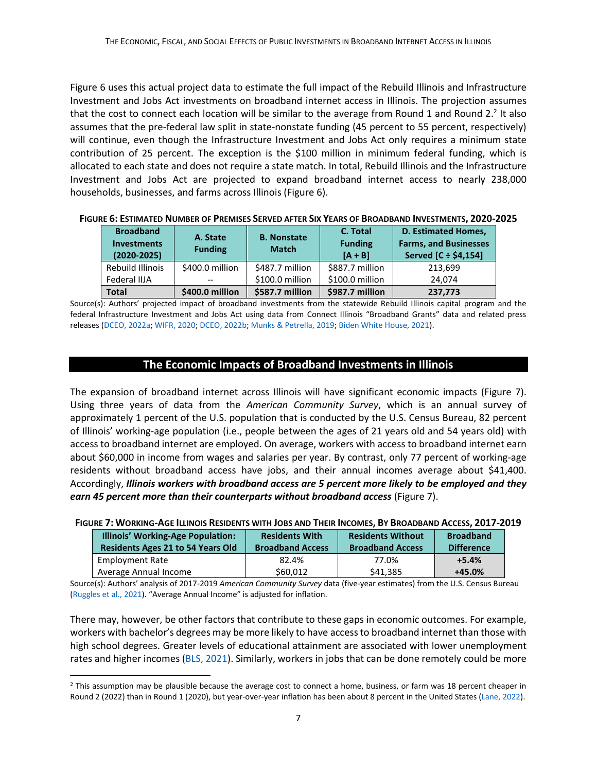Figure 6 uses this actual project data to estimate the full impact of the Rebuild Illinois and Infrastructure Investment and Jobs Act investments on broadband internet access in Illinois. The projection assumes that the cost to connect each location will be similar to the average from Round 1 and Round 2.<sup>2</sup> It also assumes that the pre-federal law split in state-nonstate funding (45 percent to 55 percent, respectively) will continue, even though the Infrastructure Investment and Jobs Act only requires a minimum state contribution of 25 percent. The exception is the \$100 million in minimum federal funding, which is allocated to each state and does not require a state match. In total, Rebuild Illinois and the Infrastructure Investment and Jobs Act are projected to expand broadband internet access to nearly 238,000 households, businesses, and farms across Illinois (Figure 6).

| FIGURE 6: ESTIMATED NUMBER OF PREMISES SERVED AFTER SIX YEARS OF BROADBAND INVESTMENTS, 2020-2025 |  |
|---------------------------------------------------------------------------------------------------|--|
|---------------------------------------------------------------------------------------------------|--|

| <b>Broadband</b><br><b>Investments</b><br>$(2020 - 2025)$ | A. State<br><b>Funding</b> | <b>B.</b> Nonstate<br><b>Match</b> | C. Total<br><b>Funding</b><br>$[A + B]$ | <b>D. Estimated Homes,</b><br><b>Farms, and Businesses</b><br>Served [C ÷ \$4,154] |
|-----------------------------------------------------------|----------------------------|------------------------------------|-----------------------------------------|------------------------------------------------------------------------------------|
| Rebuild Illinois                                          | \$400.0 million            | \$487.7 million                    | \$887.7 million                         | 213,699                                                                            |
| Federal IIJA                                              | $- -$                      | \$100.0 million                    | \$100.0 million                         | 24.074                                                                             |
| <b>Total</b>                                              | \$400.0 million            | \$587.7 million                    | \$987.7 million                         | 237,773                                                                            |

Source(s): Authors' projected impact of broadband investments from the statewide Rebuild Illinois capital program and the federal Infrastructure Investment and Jobs Act using data from Connect Illinois "Broadband Grants" data and related press releases [\(DCEO, 2022a;](https://www2.illinois.gov/dceo/ConnectIllinois/Pages/default.aspx) [WIFR, 2020;](https://www.wifr.com/content/news/Gov-Pritzker-announces-50-million-to-kick-off-states-largest-ever-broadband-expansion-571467971.html) [DCEO, 2022b;](https://www2.illinois.gov/IISNews/24432-Gov._Pritzker_Announces_$47_Million_in_Broadband_Capital_Investments.pdf) [Munks & Petrella, 2019;](https://www.chicagotribune.com/politics/ct-jb-pritzker-gambling-construction-bills-gas-tax-signed-20190628-inux5umelbewje5zzdrpphz3ze-story.html) [Biden White House, 2021\)](https://www.whitehouse.gov/wp-content/uploads/2021/08/ILLINOIS_The-Infrastructure-Investment-and-Jobs-Act-State-Fact-Sheet.pdf).

## **The Economic Impacts of Broadband Investments in Illinois**

The expansion of broadband internet across Illinois will have significant economic impacts (Figure 7). Using three years of data from the *American Community Survey*, which is an annual survey of approximately 1 percent of the U.S. population that is conducted by the U.S. Census Bureau, 82 percent of Illinois' working-age population (i.e., people between the ages of 21 years old and 54 years old) with access to broadband internet are employed. On average, workers with access to broadband internet earn about \$60,000 in income from wages and salaries per year. By contrast, only 77 percent of working-age residents without broadband access have jobs, and their annual incomes average about \$41,400. Accordingly, *Illinois workers with broadband access are 5 percent more likely to be employed and they earn 45 percent more than their counterparts without broadband access* (Figure 7).

|                                                                                                                   | iure 7: Working-Age Illinois Residents with Jobs and Their Incomes, By Broadband Access, 2017-201 |                         |                         |                   |  |  |
|-------------------------------------------------------------------------------------------------------------------|---------------------------------------------------------------------------------------------------|-------------------------|-------------------------|-------------------|--|--|
| <b>Illinois' Working-Age Population:</b><br><b>Residents Without</b><br><b>Broadband</b><br><b>Residents With</b> |                                                                                                   |                         |                         |                   |  |  |
|                                                                                                                   | <b>Residents Ages 21 to 54 Years Old</b>                                                          | <b>Broadband Access</b> | <b>Broadband Access</b> | <b>Difference</b> |  |  |
|                                                                                                                   | <b>Employment Rate</b>                                                                            | 82.4%                   | 77.0%                   | $+5.4%$           |  |  |
|                                                                                                                   | Average Annual Income                                                                             | \$60,012                | \$41,385                | $+45.0%$          |  |  |

#### FIGURE 7: WORKING-AGE ILLINOIS RESIDENTS WITH JOBS AND THEIR INCOMES, BY BROADBAND ACCESS, 2017-2019

Source(s): Authors' analysis of 2017-2019 *American Community Survey* data (five-year estimates) from the U.S. Census Bureau [\(Ruggles et al., 2021\)](https://usa.ipums.org/usa/cite.shtml). "Average Annual Income" is adjusted for inflation.

There may, however, be other factors that contribute to these gaps in economic outcomes. For example, workers with bachelor's degrees may be more likely to have access to broadband internet than those with high school degrees. Greater levels of educational attainment are associated with lower unemployment rates and higher incomes [\(BLS, 2021\)](https://www.bls.gov/emp/chart-unemployment-earnings-education.htm). Similarly, workers in jobs that can be done remotely could be more

<sup>&</sup>lt;sup>2</sup> This assumption may be plausible because the average cost to connect a home, business, or farm was 18 percent cheaper in Round 2 (2022) than in Round 1 (2020), but year-over-year inflation has been about 8 percent in the United States [\(Lane, 2022\)](https://thehill.com/policy/finance/593652-annual-inflation-reaches-75-percent-highest-rate-since-february-1982).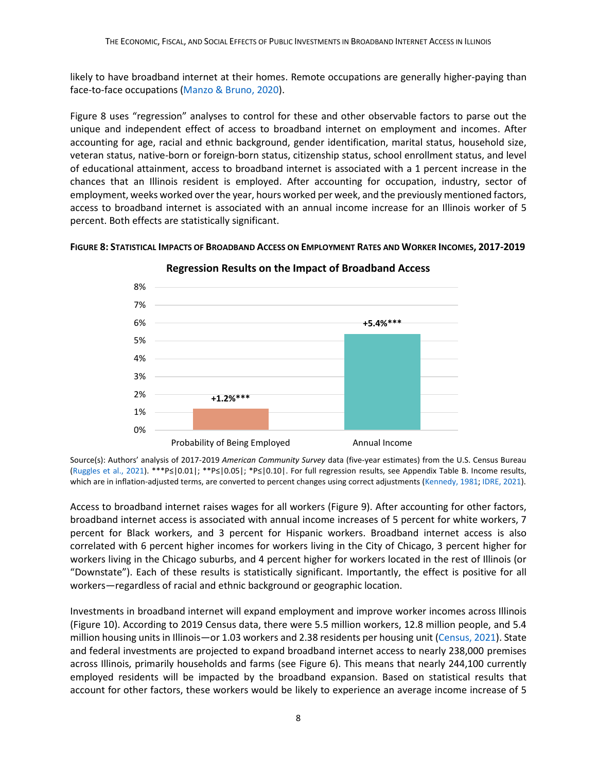likely to have broadband internet at their homes. Remote occupations are generally higher-paying than face-to-face occupations [\(Manzo & Bruno, 2020\)](https://illinoisepi.files.wordpress.com/2020/06/ilepi-pmcr-effects-of-global-pandemic-on-illinois-workers-final-6.4.20.pdf).

Figure 8 uses "regression" analyses to control for these and other observable factors to parse out the unique and independent effect of access to broadband internet on employment and incomes. After accounting for age, racial and ethnic background, gender identification, marital status, household size, veteran status, native-born or foreign-born status, citizenship status, school enrollment status, and level of educational attainment, access to broadband internet is associated with a 1 percent increase in the chances that an Illinois resident is employed. After accounting for occupation, industry, sector of employment, weeks worked over the year, hours worked per week, and the previously mentioned factors, access to broadband internet is associated with an annual income increase for an Illinois worker of 5 percent. Both effects are statistically significant.





**Regression Results on the Impact of Broadband Access**

Source(s): Authors' analysis of 2017-2019 *American Community Survey* data (five-year estimates) from the U.S. Census Bureau [\(Ruggles et al., 2021\)](https://usa.ipums.org/usa/cite.shtml). \*\*\*P≤|0.01|; \*\*P≤|0.05|; \*P≤|0.10|. For full regression results, see Appendix Table B. Income results, which are in inflation-adjusted terms, are converted to percent changes using correct adjustments [\(Kennedy, 1981;](https://www.jstor.org/stable/1806207?refreqid=excelsior%3Aeee9b8c3317764f3573e9668c48bd763) [IDRE, 2021\)](https://stats.idre.ucla.edu/other/mult-pkg/faq/general/faqhow-do-i-interpret-a-regression-model-when-some-variables-are-log-transformed/).

Access to broadband internet raises wages for all workers (Figure 9). After accounting for other factors, broadband internet access is associated with annual income increases of 5 percent for white workers, 7 percent for Black workers, and 3 percent for Hispanic workers. Broadband internet access is also correlated with 6 percent higher incomes for workers living in the City of Chicago, 3 percent higher for workers living in the Chicago suburbs, and 4 percent higher for workers located in the rest of Illinois (or "Downstate"). Each of these results is statistically significant. Importantly, the effect is positive for all workers—regardless of racial and ethnic background or geographic location.

Investments in broadband internet will expand employment and improve worker incomes across Illinois (Figure 10). According to 2019 Census data, there were 5.5 million workers, 12.8 million people, and 5.4 million housing units in Illinois—or 1.03 workers and 2.38 residents per housing unit [\(Census, 2021\)](https://www.census.gov/quickfacts/IL). State and federal investments are projected to expand broadband internet access to nearly 238,000 premises across Illinois, primarily households and farms (see Figure 6). This means that nearly 244,100 currently employed residents will be impacted by the broadband expansion. Based on statistical results that account for other factors, these workers would be likely to experience an average income increase of 5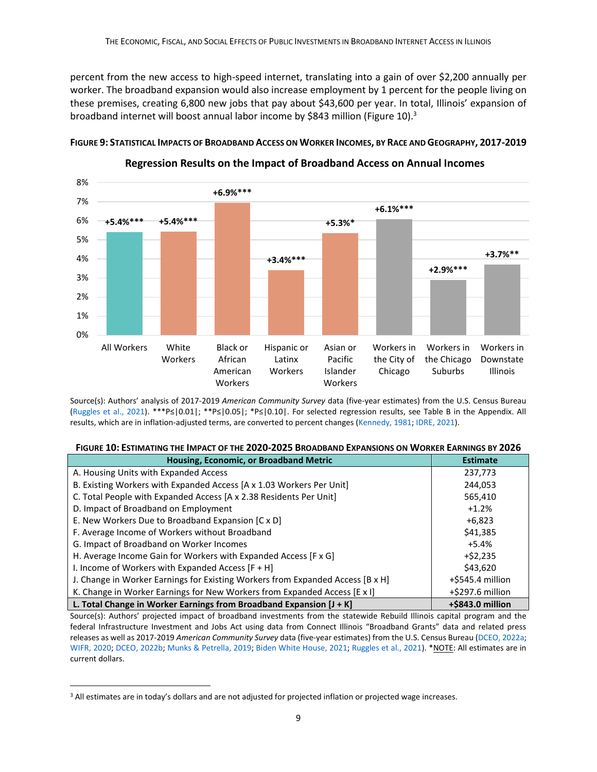percent from the new access to high-speed internet, translating into a gain of over \$2,200 annually per worker. The broadband expansion would also increase employment by 1 percent for the people living on these premises, creating 6,800 new jobs that pay about \$43,600 per year. In total, Illinois' expansion of broadband internet will boost annual labor income by \$843 million (Figure 10).<sup>3</sup>



FIGURE 9: STATISTICAL IMPACTS OF BROADBAND ACCESS ON WORKER INCOMES, BY RACE AND GEOGRAPHY, 2017-2019

**Regression Results on the Impact of Broadband Access on Annual Incomes**

Source(s): Authors' analysis of 2017-2019 *American Community Survey* data (five-year estimates) from the U.S. Census Bureau [\(Ruggles et al., 2021\)](https://usa.ipums.org/usa/cite.shtml). \*\*\*P≤|0.01|; \*\*P≤|0.05|; \*P≤|0.10|. For selected regression results, see Table B in the Appendix. All results, which are in inflation-adjusted terms, are converted to percent changes [\(Kennedy, 1981;](https://www.jstor.org/stable/1806207?refreqid=excelsior%3Aeee9b8c3317764f3573e9668c48bd763) [IDRE, 2021\)](https://stats.idre.ucla.edu/other/mult-pkg/faq/general/faqhow-do-i-interpret-a-regression-model-when-some-variables-are-log-transformed/).

| FIGURE 10: ESTIMATING THE IMPACT OF THE 2020-2025 BROADBAND EXPANSIONS ON WORKER EARNINGS BY 2026 |  |
|---------------------------------------------------------------------------------------------------|--|
|                                                                                                   |  |

| Housing, Economic, or Broadband Metric                                         | <b>Estimate</b>     |
|--------------------------------------------------------------------------------|---------------------|
| A. Housing Units with Expanded Access                                          | 237,773             |
| B. Existing Workers with Expanded Access [A x 1.03 Workers Per Unit]           | 244,053             |
| C. Total People with Expanded Access [A x 2.38 Residents Per Unit]             | 565,410             |
| D. Impact of Broadband on Employment                                           | $+1.2%$             |
| E. New Workers Due to Broadband Expansion [C x D]                              | $+6.823$            |
| F. Average Income of Workers without Broadband                                 | \$41,385            |
| G. Impact of Broadband on Worker Incomes                                       | $+5.4%$             |
| H. Average Income Gain for Workers with Expanded Access [F x G]                | $+ $2,235$          |
| I. Income of Workers with Expanded Access [F + H]                              | \$43,620            |
| J. Change in Worker Earnings for Existing Workers from Expanded Access [B x H] | +\$545.4 million    |
| K. Change in Worker Earnings for New Workers from Expanded Access [E x I]      | $+$ \$297.6 million |
| L. Total Change in Worker Earnings from Broadband Expansion $[J + K]$          | +\$843.0 million    |

Source(s): Authors' projected impact of broadband investments from the statewide Rebuild Illinois capital program and the federal Infrastructure Investment and Jobs Act using data from Connect Illinois "Broadband Grants" data and related press releases as well as 2017-2019 *American Community Survey* data (five-year estimates) from the U.S. Census Bureau [\(DCEO, 2022a;](https://www2.illinois.gov/dceo/ConnectIllinois/Pages/default.aspx) [WIFR, 2020;](https://www.wifr.com/content/news/Gov-Pritzker-announces-50-million-to-kick-off-states-largest-ever-broadband-expansion-571467971.html) [DCEO, 2022b;](https://www2.illinois.gov/IISNews/24432-Gov._Pritzker_Announces_$47_Million_in_Broadband_Capital_Investments.pdf) [Munks & Petrella, 2019;](https://www.chicagotribune.com/politics/ct-jb-pritzker-gambling-construction-bills-gas-tax-signed-20190628-inux5umelbewje5zzdrpphz3ze-story.html) [Biden White House, 2021;](https://www.whitehouse.gov/wp-content/uploads/2021/08/ILLINOIS_The-Infrastructure-Investment-and-Jobs-Act-State-Fact-Sheet.pdf) [Ruggles et al., 2021\)](https://usa.ipums.org/usa/cite.shtml). \*NOTE: All estimates are in current dollars.

<sup>&</sup>lt;sup>3</sup> All estimates are in today's dollars and are not adjusted for projected inflation or projected wage increases.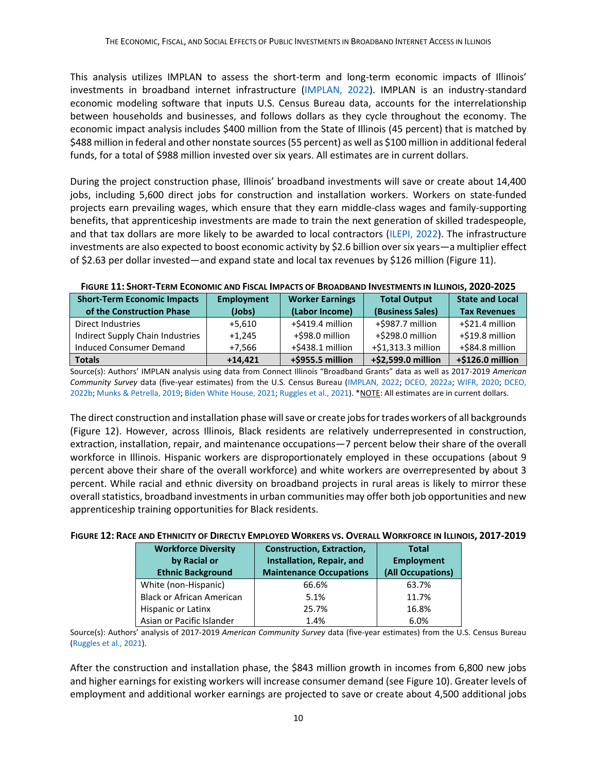This analysis utilizes IMPLAN to assess the short-term and long-term economic impacts of Illinois' investments in broadband internet infrastructure [\(IMPLAN, 2022\)](https://implan.com/). IMPLAN is an industry-standard economic modeling software that inputs U.S. Census Bureau data, accounts for the interrelationship between households and businesses, and follows dollars as they cycle throughout the economy. The economic impact analysis includes \$400 million from the State of Illinois (45 percent) that is matched by \$488 million in federal and other nonstate sources (55 percent) as well as \$100 million in additional federal funds, for a total of \$988 million invested over six years. All estimates are in current dollars.

During the project construction phase, Illinois' broadband investments will save or create about 14,400 jobs, including 5,600 direct jobs for construction and installation workers. Workers on state-funded projects earn prevailing wages, which ensure that they earn middle-class wages and family-supporting benefits, that apprenticeship investments are made to train the next generation of skilled tradespeople, and that tax dollars are more likely to be awarded to local contractors [\(ILEPI, 2022\)](https://illinoisepi.org/focus-areas/prevailing-wage/). The infrastructure investments are also expected to boost economic activity by \$2.6 billion over six years—a multiplier effect of \$2.63 per dollar invested—and expand state and local tax revenues by \$126 million (Figure 11).

| <b>Short-Term Economic Impacts</b><br>of the Construction Phase | <b>Employment</b><br>(Jobs) | <b>Worker Earnings</b><br>(Labor Income) | <b>Total Output</b><br>(Business Sales) | <b>State and Local</b><br><b>Tax Revenues</b> |
|-----------------------------------------------------------------|-----------------------------|------------------------------------------|-----------------------------------------|-----------------------------------------------|
| Direct Industries                                               | $+5.610$                    | +\$419.4 million                         | +\$987.7 million                        | +\$21.4 million                               |
| Indirect Supply Chain Industries                                | $+1.245$                    | +\$98.0 million                          | +\$298.0 million                        | +\$19.8 million                               |
| Induced Consumer Demand                                         | $+7.566$                    | +\$438.1 million                         | +\$1,313.3 million                      | +\$84.8 million                               |
| <b>Totals</b>                                                   | $+14.421$                   | +\$955.5 million                         | +\$2,599.0 million                      | +\$126.0 million                              |

FIGURE 11: SHORT-TERM ECONOMIC AND FISCAL IMPACTS OF BROADBAND INVESTMENTS IN ILLINOIS, 2020-2025

Source(s): Authors' IMPLAN analysis using data from Connect Illinois "Broadband Grants" data as well as 2017-2019 *American Community Survey* data (five-year estimates) from the U.S. Census Bureau [\(IMPLAN, 2022;](https://implan.com/) [DCEO, 2022a;](https://www2.illinois.gov/dceo/ConnectIllinois/Pages/default.aspx) [WIFR, 2020;](https://www.wifr.com/content/news/Gov-Pritzker-announces-50-million-to-kick-off-states-largest-ever-broadband-expansion-571467971.html) [DCEO,](https://www2.illinois.gov/IISNews/24432-Gov._Pritzker_Announces_$47_Million_in_Broadband_Capital_Investments.pdf)  [2022b;](https://www2.illinois.gov/IISNews/24432-Gov._Pritzker_Announces_$47_Million_in_Broadband_Capital_Investments.pdf) [Munks & Petrella, 2019;](https://www.chicagotribune.com/politics/ct-jb-pritzker-gambling-construction-bills-gas-tax-signed-20190628-inux5umelbewje5zzdrpphz3ze-story.html) [Biden White House, 2021;](https://www.whitehouse.gov/wp-content/uploads/2021/08/ILLINOIS_The-Infrastructure-Investment-and-Jobs-Act-State-Fact-Sheet.pdf) [Ruggles et al., 2021\)](https://usa.ipums.org/usa/cite.shtml). \*NOTE: All estimates are in current dollars.

The direct construction and installation phase will save or create jobs for trades workers of all backgrounds (Figure 12). However, across Illinois, Black residents are relatively underrepresented in construction, extraction, installation, repair, and maintenance occupations—7 percent below their share of the overall workforce in Illinois. Hispanic workers are disproportionately employed in these occupations (about 9 percent above their share of the overall workforce) and white workers are overrepresented by about 3 percent. While racial and ethnic diversity on broadband projects in rural areas is likely to mirror these overall statistics, broadband investments in urban communities may offer both job opportunities and new apprenticeship training opportunities for Black residents.

#### FIGURE 12: RACE AND ETHNICITY OF DIRECTLY EMPLOYED WORKERS VS. OVERALL WORKFORCE IN ILLINOIS, 2017-2019

| <b>Workforce Diversity</b><br>by Racial or<br><b>Ethnic Background</b> | <b>Construction, Extraction,</b><br>Installation, Repair, and<br><b>Maintenance Occupations</b> | <b>Total</b><br><b>Employment</b><br>(All Occupations) |
|------------------------------------------------------------------------|-------------------------------------------------------------------------------------------------|--------------------------------------------------------|
| White (non-Hispanic)                                                   | 66.6%                                                                                           | 63.7%                                                  |
| <b>Black or African American</b>                                       | 5.1%                                                                                            | 11.7%                                                  |
| Hispanic or Latinx                                                     | 25.7%                                                                                           | 16.8%                                                  |
| Asian or Pacific Islander                                              | 1.4%                                                                                            | 6.0%                                                   |

Source(s): Authors' analysis of 2017-2019 *American Community Survey* data (five-year estimates) from the U.S. Census Bureau [\(Ruggles et al., 2021\)](https://usa.ipums.org/usa/cite.shtml).

After the construction and installation phase, the \$843 million growth in incomes from 6,800 new jobs and higher earnings for existing workers will increase consumer demand (see Figure 10). Greater levels of employment and additional worker earnings are projected to save or create about 4,500 additional jobs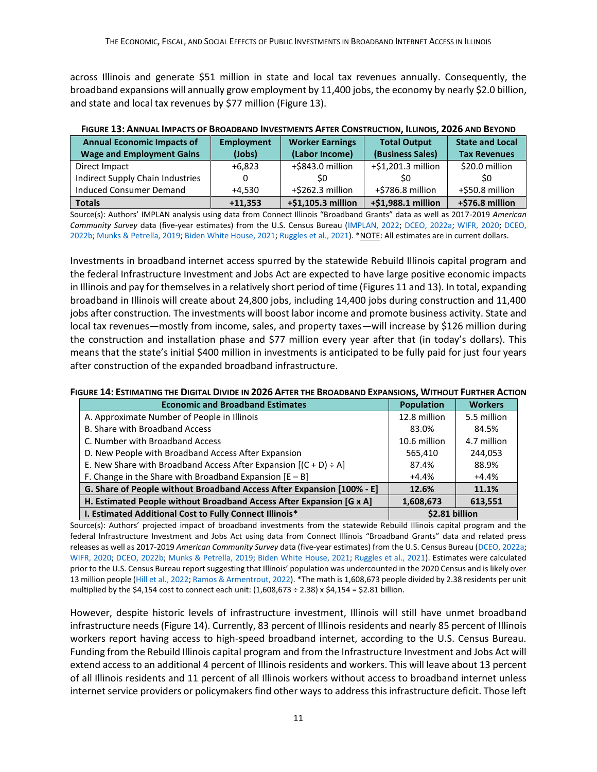across Illinois and generate \$51 million in state and local tax revenues annually. Consequently, the broadband expansions will annually grow employment by 11,400 jobs, the economy by nearly \$2.0 billion, and state and local tax revenues by \$77 million (Figure 13).

| <u>HOOKE 19. ANNOAL INII ACID OF DROADDAND INVESTINENTS AFTER CONSTRUCTION, IEENOIS, EUEU AND DETOND</u> |                             |                                          |                                         |                                               |  |  |
|----------------------------------------------------------------------------------------------------------|-----------------------------|------------------------------------------|-----------------------------------------|-----------------------------------------------|--|--|
| <b>Annual Economic Impacts of</b><br><b>Wage and Employment Gains</b>                                    | <b>Employment</b><br>(Jobs) | <b>Worker Earnings</b><br>(Labor Income) | <b>Total Output</b><br>(Business Sales) | <b>State and Local</b><br><b>Tax Revenues</b> |  |  |
| Direct Impact                                                                                            | $+6.823$                    | +\$843.0 million                         | +\$1,201.3 million                      | \$20.0 million                                |  |  |
| Indirect Supply Chain Industries                                                                         |                             | SO.                                      |                                         | S0                                            |  |  |
| Induced Consumer Demand                                                                                  | $+4.530$                    | +\$262.3 million                         | +\$786.8 million                        | +\$50.8 million                               |  |  |
| <b>Totals</b>                                                                                            | $+11,353$                   | +\$1,105.3 million                       | $+$1,988.1$ million                     | +\$76.8 million                               |  |  |

#### FIGURE 13: ANNUAL IMPACTS OF BROADBAND INVESTMENTS AFTER CONSTRUCTION, ILLINOIS, 2026 AND BEYOND

Source(s): Authors' IMPLAN analysis using data from Connect Illinois "Broadband Grants" data as well as 2017-2019 *American Community Survey* data (five-year estimates) from the U.S. Census Bureau [\(IMPLAN, 2022;](https://implan.com/) [DCEO, 2022a;](https://www2.illinois.gov/dceo/ConnectIllinois/Pages/default.aspx) [WIFR, 2020;](https://www.wifr.com/content/news/Gov-Pritzker-announces-50-million-to-kick-off-states-largest-ever-broadband-expansion-571467971.html) [DCEO,](https://www2.illinois.gov/IISNews/24432-Gov._Pritzker_Announces_$47_Million_in_Broadband_Capital_Investments.pdf)  [2022b;](https://www2.illinois.gov/IISNews/24432-Gov._Pritzker_Announces_$47_Million_in_Broadband_Capital_Investments.pdf) [Munks & Petrella, 2019;](https://www.chicagotribune.com/politics/ct-jb-pritzker-gambling-construction-bills-gas-tax-signed-20190628-inux5umelbewje5zzdrpphz3ze-story.html) [Biden White House, 2021;](https://www.whitehouse.gov/wp-content/uploads/2021/08/ILLINOIS_The-Infrastructure-Investment-and-Jobs-Act-State-Fact-Sheet.pdf) [Ruggles et al., 2021\)](https://usa.ipums.org/usa/cite.shtml). \*NOTE: All estimates are in current dollars.

Investments in broadband internet access spurred by the statewide Rebuild Illinois capital program and the federal Infrastructure Investment and Jobs Act are expected to have large positive economic impacts in Illinois and pay for themselves in a relatively short period of time (Figures 11 and 13). In total, expanding broadband in Illinois will create about 24,800 jobs, including 14,400 jobs during construction and 11,400 jobs after construction. The investments will boost labor income and promote business activity. State and local tax revenues—mostly from income, sales, and property taxes—will increase by \$126 million during the construction and installation phase and \$77 million every year after that (in today's dollars). This means that the state's initial \$400 million in investments is anticipated to be fully paid for just four years after construction of the expanded broadband infrastructure.

#### FIGURE 14: ESTIMATING THE DIGITAL DIVIDE IN 2026 AFTER THE BROADBAND EXPANSIONS, WITHOUT FURTHER ACTION

| <b>Economic and Broadband Estimates</b>                                | <b>Population</b> | <b>Workers</b> |
|------------------------------------------------------------------------|-------------------|----------------|
| A. Approximate Number of People in Illinois                            | 12.8 million      | 5.5 million    |
| B. Share with Broadband Access                                         | 83.0%             | 84.5%          |
| C. Number with Broadband Access                                        | 10.6 million      | 4.7 million    |
| D. New People with Broadband Access After Expansion                    | 565,410           | 244,053        |
| E. New Share with Broadband Access After Expansion $[(C + D) \div A]$  | 87.4%             | 88.9%          |
| F. Change in the Share with Broadband Expansion $[E - B]$              | $+4.4\%$          | +4.4%          |
| G. Share of People without Broadband Access After Expansion [100% - E] | 12.6%             | 11.1%          |
| H. Estimated People without Broadband Access After Expansion [G x A]   | 1,608,673         | 613,551        |
| I. Estimated Additional Cost to Fully Connect Illinois*                | \$2.81 billion    |                |

Source(s): Authors' projected impact of broadband investments from the statewide Rebuild Illinois capital program and the federal Infrastructure Investment and Jobs Act using data from Connect Illinois "Broadband Grants" data and related press releases as well as 2017-2019 *American Community Survey* data (five-year estimates) from the U.S. Census Bureau [\(DCEO, 2022a;](https://www2.illinois.gov/dceo/ConnectIllinois/Pages/default.aspx) [WIFR, 2020;](https://www.wifr.com/content/news/Gov-Pritzker-announces-50-million-to-kick-off-states-largest-ever-broadband-expansion-571467971.html) [DCEO, 2022b;](https://www2.illinois.gov/IISNews/24432-Gov._Pritzker_Announces_$47_Million_in_Broadband_Capital_Investments.pdf) [Munks & Petrella, 2019;](https://www.chicagotribune.com/politics/ct-jb-pritzker-gambling-construction-bills-gas-tax-signed-20190628-inux5umelbewje5zzdrpphz3ze-story.html) [Biden White House, 2021;](https://www.whitehouse.gov/wp-content/uploads/2021/08/ILLINOIS_The-Infrastructure-Investment-and-Jobs-Act-State-Fact-Sheet.pdf) [Ruggles et al., 2021\)](https://usa.ipums.org/usa/cite.shtml). Estimates were calculated prior to the U.S. Census Bureau report suggesting that Illinois' population was undercounted in the 2020 Census and is likely over 13 million people [\(Hill et al., 2022;](https://www2.census.gov/programs-surveys/decennial/coverage-measurement/pes/census-coverage-estimates-for-people-in-the-united-states-by-state-and-census-operations.pdf) [Ramos & Armentrout, 2022\)](https://chicago.suntimes.com/2022/5/19/23131741/illinois-2020-census-undercount-population-gain-pritzker-welch-democrats-republican-trump?fbclid=IwAR0hvUGu4QQ-Z9XOdJsSwqJGzXMFjyQTXubTUym8gm10oiNZiu5CBZ9v8YU). \*The math is 1,608,673 people divided by 2.38 residents per unit multiplied by the \$4,154 cost to connect each unit:  $(1,608,673 \div 2.38)$  x \$4,154 = \$2.81 billion.

However, despite historic levels of infrastructure investment, Illinois will still have unmet broadband infrastructure needs (Figure 14). Currently, 83 percent of Illinois residents and nearly 85 percent of Illinois workers report having access to high-speed broadband internet, according to the U.S. Census Bureau. Funding from the Rebuild Illinois capital program and from the Infrastructure Investment and Jobs Act will extend access to an additional 4 percent of Illinois residents and workers. This will leave about 13 percent of all Illinois residents and 11 percent of all Illinois workers without access to broadband internet unless internet service providers or policymakers find other ways to address this infrastructure deficit. Those left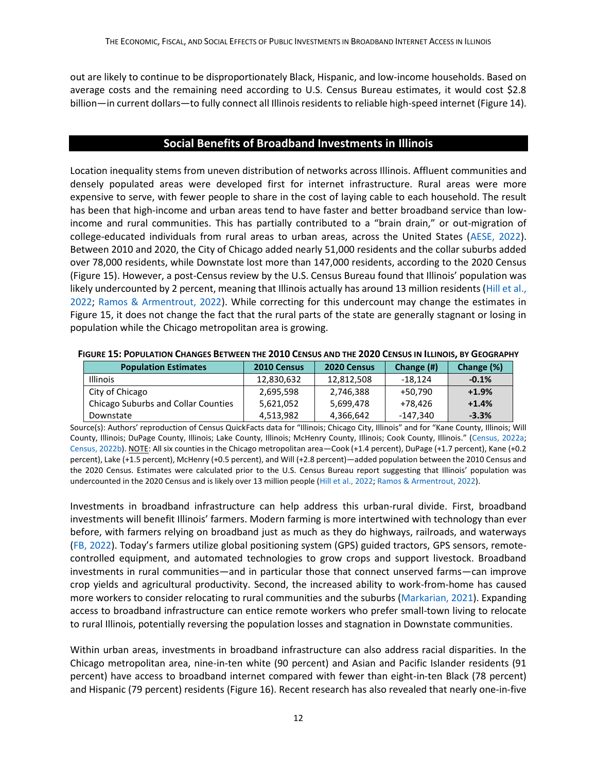out are likely to continue to be disproportionately Black, Hispanic, and low-income households. Based on average costs and the remaining need according to U.S. Census Bureau estimates, it would cost \$2.8 billion—in current dollars—to fully connect all Illinois residents to reliable high-speed internet (Figure 14).

## **Social Benefits of Broadband Investments in Illinois**

Location inequality stems from uneven distribution of networks across Illinois. Affluent communities and densely populated areas were developed first for internet infrastructure. Rural areas were more expensive to serve, with fewer people to share in the cost of laying cable to each household. The result has been that high-income and urban areas tend to have faster and better broadband service than lowincome and rural communities. This has partially contributed to a "brain drain," or out-migration of college-educated individuals from rural areas to urban areas, across the United States [\(AESE, 2022\)](https://aese.psu.edu/nercrd/community/rural-brain-drain). Between 2010 and 2020, the City of Chicago added nearly 51,000 residents and the collar suburbs added over 78,000 residents, while Downstate lost more than 147,000 residents, according to the 2020 Census (Figure 15). However, a post-Census review by the U.S. Census Bureau found that Illinois' population was likely undercounted by 2 percent, meaning that Illinois actually has around 13 million residents [\(Hill et al.,](https://www2.census.gov/programs-surveys/decennial/coverage-measurement/pes/census-coverage-estimates-for-people-in-the-united-states-by-state-and-census-operations.pdf)  [2022;](https://www2.census.gov/programs-surveys/decennial/coverage-measurement/pes/census-coverage-estimates-for-people-in-the-united-states-by-state-and-census-operations.pdf) [Ramos & Armentrout, 2022\)](https://chicago.suntimes.com/2022/5/19/23131741/illinois-2020-census-undercount-population-gain-pritzker-welch-democrats-republican-trump?fbclid=IwAR0hvUGu4QQ-Z9XOdJsSwqJGzXMFjyQTXubTUym8gm10oiNZiu5CBZ9v8YU). While correcting for this undercount may change the estimates in Figure 15, it does not change the fact that the rural parts of the state are generally stagnant or losing in population while the Chicago metropolitan area is growing.

| <b>Population Estimates</b>         | 2010 Census | 2020 Census | Change (#) | Change (%) |
|-------------------------------------|-------------|-------------|------------|------------|
| <b>Illinois</b>                     | 12.830.632  | 12.812.508  | $-18.124$  | $-0.1%$    |
| City of Chicago                     | 2,695,598   | 2,746,388   | +50.790    | $+1.9%$    |
| Chicago Suburbs and Collar Counties | 5,621,052   | 5.699.478   | +78.426    | $+1.4%$    |
| Downstate                           | 4,513,982   | 4,366,642   | -147,340   | $-3.3%$    |

FIGURE 15: POPULATION CHANGES BETWEEN THE 2010 CENSUS AND THE 2020 CENSUS IN ILLINOIS, BY GEOGRAPHY

Source(s): Authors' reproduction of Census QuickFacts data for "Illinois; Chicago City, Illinois" and for "Kane County, Illinois; Will County, Illinois; DuPage County, Illinois; Lake County, Illinois; McHenry County, Illinois; Cook County, Illinois." [\(Census, 2022a;](https://www.census.gov/quickfacts/fact/table/IL,chicagocityillinois/PST045221) [Census, 2022b\)](https://www.census.gov/quickfacts/fact/table/kanecountyillinois,willcountyillinois,dupagecountyillinois,lakecountyillinois,mchenrycountyillinois,cookcountyillinois/PST045221). NOTE: All six counties in the Chicago metropolitan area—Cook (+1.4 percent), DuPage (+1.7 percent), Kane (+0.2 percent), Lake (+1.5 percent), McHenry (+0.5 percent), and Will (+2.8 percent)—added population between the 2010 Census and the 2020 Census. Estimates were calculated prior to the U.S. Census Bureau report suggesting that Illinois' population was undercounted in the 2020 Census and is likely over 13 million people [\(Hill et al., 2022;](https://www2.census.gov/programs-surveys/decennial/coverage-measurement/pes/census-coverage-estimates-for-people-in-the-united-states-by-state-and-census-operations.pdf) [Ramos & Armentrout, 2022\)](https://chicago.suntimes.com/2022/5/19/23131741/illinois-2020-census-undercount-population-gain-pritzker-welch-democrats-republican-trump?fbclid=IwAR0hvUGu4QQ-Z9XOdJsSwqJGzXMFjyQTXubTUym8gm10oiNZiu5CBZ9v8YU).

Investments in broadband infrastructure can help address this urban-rural divide. First, broadband investments will benefit Illinois' farmers. Modern farming is more intertwined with technology than ever before, with farmers relying on broadband just as much as they do highways, railroads, and waterways [\(FB, 2022](https://www.fb.org/issues/infrastructure/broadband/)). Today's farmers utilize global positioning system (GPS) guided tractors, GPS sensors, remotecontrolled equipment, and automated technologies to grow crops and support livestock. Broadband investments in rural communities—and in particular those that connect unserved farms—can improve crop yields and agricultural productivity. Second, the increased ability to work-from-home has caused more workers to consider relocating to rural communities and the suburbs [\(Markarian, 2021\)](https://www.forbes.com/sites/forbesrealestatecouncil/2021/04/23/the-effects-of-remote-work-on-real-estate-across-the-us/?sh=16bb804062a3). Expanding access to broadband infrastructure can entice remote workers who prefer small-town living to relocate to rural Illinois, potentially reversing the population losses and stagnation in Downstate communities.

Within urban areas, investments in broadband infrastructure can also address racial disparities. In the Chicago metropolitan area, nine-in-ten white (90 percent) and Asian and Pacific Islander residents (91 percent) have access to broadband internet compared with fewer than eight-in-ten Black (78 percent) and Hispanic (79 percent) residents (Figure 16). Recent research has also revealed that nearly one-in-five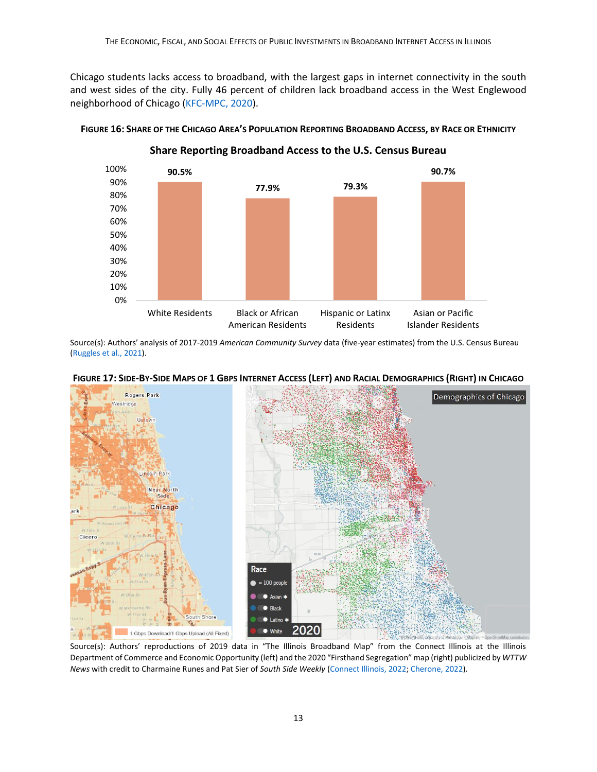Chicago students lacks access to broadband, with the largest gaps in internet connectivity in the south and west sides of the city. Fully 46 percent of children lack broadband access in the West Englewood neighborhood of Chicago [\(KFC-MPC, 2020\)](https://static1.squarespace.com/static/5b212dce5417fcd9ddec5349/t/5ea198c8f3110c4651d9db54/1587648715787/2-2020-Internet+Connectivity-FINAL.pdf).



FIGURE 16: SHARE OF THE CHICAGO AREA'S POPULATION REPORTING BROADBAND ACCESS, BY RACE OR ETHNICITY

**Share Reporting Broadband Access to the U.S. Census Bureau**

Source(s): Authors' analysis of 2017-2019 *American Community Survey* data (five-year estimates) from the U.S. Census Bureau [\(Ruggles et al., 2021\)](https://usa.ipums.org/usa/cite.shtml).





Source(s): Authors' reproductions of 2019 data in "The Illinois Broadband Map" from the Connect Illinois at the Illinois Department of Commerce and Economic Opportunity (left) and the 2020 "Firsthand Segregation" map (right) publicized by *WTTW News* with credit to Charmaine Runes and Pat Sier of *South Side Weekly* [\(Connect Illinois, 2022;](https://gis.connectednation.org/portal/apps/webappviewer/index.html?id=caedfe7ce8924660a4ce62de6a75a7fd) [Cherone, 2022\)](https://interactive.wttw.com/firsthand/segregation/how-did-chicago-become-so-segregated-by-inventing-modern-segregation).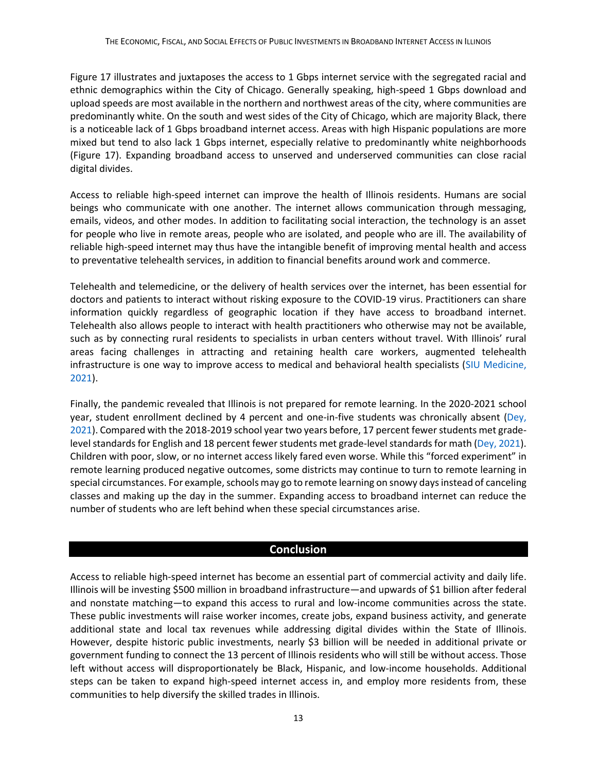Figure 17 illustrates and juxtaposes the access to 1 Gbps internet service with the segregated racial and ethnic demographics within the City of Chicago. Generally speaking, high-speed 1 Gbps download and upload speeds are most available in the northern and northwest areas of the city, where communities are predominantly white. On the south and west sides of the City of Chicago, which are majority Black, there is a noticeable lack of 1 Gbps broadband internet access. Areas with high Hispanic populations are more mixed but tend to also lack 1 Gbps internet, especially relative to predominantly white neighborhoods (Figure 17). Expanding broadband access to unserved and underserved communities can close racial digital divides.

Access to reliable high-speed internet can improve the health of Illinois residents. Humans are social beings who communicate with one another. The internet allows communication through messaging, emails, videos, and other modes. In addition to facilitating social interaction, the technology is an asset for people who live in remote areas, people who are isolated, and people who are ill. The availability of reliable high-speed internet may thus have the intangible benefit of improving mental health and access to preventative telehealth services, in addition to financial benefits around work and commerce.

Telehealth and telemedicine, or the delivery of health services over the internet, has been essential for doctors and patients to interact without risking exposure to the COVID-19 virus. Practitioners can share information quickly regardless of geographic location if they have access to broadband internet. Telehealth also allows people to interact with health practitioners who otherwise may not be available, such as by connecting rural residents to specialists in urban centers without travel. With Illinois' rural areas facing challenges in attracting and retaining health care workers, augmented telehealth infrastructure is one way to improve access to medical and behavioral health specialists [\(SIU Medicine,](https://icahn.org/wp-content/uploads/2021/10/RHS_Rural_Health_Workforce.pdf)  [2021\)](https://icahn.org/wp-content/uploads/2021/10/RHS_Rural_Health_Workforce.pdf).

Finally, the pandemic revealed that Illinois is not prepared for remote learning. In the 2020-2021 school year, student enrollment declined by 4 percent and one-in-five students was chronically absent (Dey, [2021\)](https://chicago.suntimes.com/education/2021/10/29/22752769/illinois-school-report-card-student-absences-test-scores-pandemic-cps). Compared with the 2018-2019 school year two years before, 17 percent fewer students met gradelevel standards for English and 18 percent fewer students met grade-level standards for math [\(Dey, 2021\)](https://chicago.suntimes.com/education/2021/10/29/22752769/illinois-school-report-card-student-absences-test-scores-pandemic-cps). Children with poor, slow, or no internet access likely fared even worse. While this "forced experiment" in remote learning produced negative outcomes, some districts may continue to turn to remote learning in special circumstances. For example, schools may go to remote learning on snowy days instead of canceling classes and making up the day in the summer. Expanding access to broadband internet can reduce the number of students who are left behind when these special circumstances arise.

## **Conclusion**

Access to reliable high-speed internet has become an essential part of commercial activity and daily life. Illinois will be investing \$500 million in broadband infrastructure—and upwards of \$1 billion after federal and nonstate matching—to expand this access to rural and low-income communities across the state. These public investments will raise worker incomes, create jobs, expand business activity, and generate additional state and local tax revenues while addressing digital divides within the State of Illinois. However, despite historic public investments, nearly \$3 billion will be needed in additional private or government funding to connect the 13 percent of Illinois residents who will still be without access. Those left without access will disproportionately be Black, Hispanic, and low-income households. Additional steps can be taken to expand high-speed internet access in, and employ more residents from, these communities to help diversify the skilled trades in Illinois.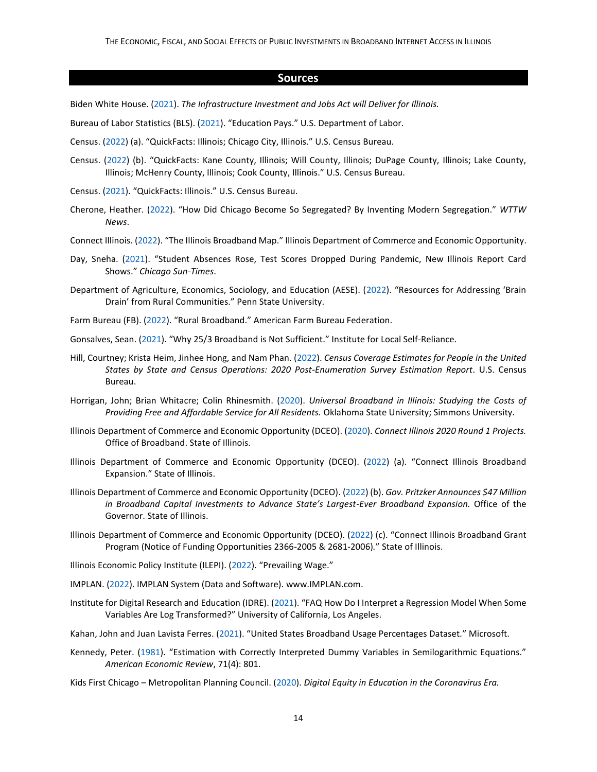#### **Sources**

Biden White House. [\(2021\)](https://www.whitehouse.gov/wp-content/uploads/2021/08/ILLINOIS_The-Infrastructure-Investment-and-Jobs-Act-State-Fact-Sheet.pdf). *The Infrastructure Investment and Jobs Act will Deliver for Illinois.*

Bureau of Labor Statistics (BLS). [\(2021](https://www.bls.gov/emp/chart-unemployment-earnings-education.htm)). "Education Pays." U.S. Department of Labor.

- Census. [\(2022](https://www.census.gov/quickfacts/fact/table/IL,chicagocityillinois/PST045221)) (a). "QuickFacts: Illinois; Chicago City, Illinois." U.S. Census Bureau.
- Census. [\(2022](https://www.census.gov/quickfacts/fact/table/kanecountyillinois,willcountyillinois,dupagecountyillinois,lakecountyillinois,mchenrycountyillinois,cookcountyillinois/PST045221)) (b). "QuickFacts: Kane County, Illinois; Will County, Illinois; DuPage County, Illinois; Lake County, Illinois; McHenry County, Illinois; Cook County, Illinois." U.S. Census Bureau.
- Census. [\(2021\)](https://www.census.gov/quickfacts/IL). "QuickFacts: Illinois." U.S. Census Bureau.
- Cherone, Heather. [\(2022](https://interactive.wttw.com/firsthand/segregation/how-did-chicago-become-so-segregated-by-inventing-modern-segregation)). "How Did Chicago Become So Segregated? By Inventing Modern Segregation." *WTTW News*.
- Connect Illinois. [\(2022](https://gis.connectednation.org/portal/apps/webappviewer/index.html?id=caedfe7ce8924660a4ce62de6a75a7fd)). "The Illinois Broadband Map." Illinois Department of Commerce and Economic Opportunity.
- Day, Sneha. [\(2021](https://chicago.suntimes.com/education/2021/10/29/22752769/illinois-school-report-card-student-absences-test-scores-pandemic-cps)). "Student Absences Rose, Test Scores Dropped During Pandemic, New Illinois Report Card Shows." *Chicago Sun-Times*.
- Department of Agriculture, Economics, Sociology, and Education (AESE). [\(2022](https://aese.psu.edu/nercrd/community/rural-brain-drain)). "Resources for Addressing 'Brain Drain' from Rural Communities." Penn State University.
- Farm Bureau (FB). [\(2022](https://www.fb.org/issues/infrastructure/broadband/)). "Rural Broadband." American Farm Bureau Federation.
- Gonsalves, Sean. [\(2021](https://muninetworks.org/content/why-253-broadband-not-sufficient)). "Why 25/3 Broadband is Not Sufficient." Institute for Local Self-Reliance.
- Hill, Courtney; Krista Heim, Jinhee Hong, and Nam Phan. [\(2022\)](https://www2.census.gov/programs-surveys/decennial/coverage-measurement/pes/census-coverage-estimates-for-people-in-the-united-states-by-state-and-census-operations.pdf). *Census Coverage Estimates for People in the United States by State and Census Operations: 2020 Post-Enumeration Survey Estimation Report*. U.S. Census Bureau.
- Horrigan, John; Brian Whitacre; Colin Rhinesmith. [\(2020\)](https://www2.illinois.gov/dceo/ConnectIllinois/Documents/BAC%20Broadband%20Affordability%20Study.pdf?utm_source=sendgrid&utm_medium=email&utm_campaign=Newsletters). *Universal Broadband in Illinois: Studying the Costs of Providing Free and Affordable Service for All Residents.* Oklahoma State University; Simmons University.
- Illinois Department of Commerce and Economic Opportunity (DCEO). [\(2020\)](https://www2.illinois.gov/dceo/ConnectIllinois/Documents/Connect%20Illinois%20Rd%201%20Summaries.pdf). *Connect Illinois 2020 Round 1 Projects.* Office of Broadband. State of Illinois.
- Illinois Department of Commerce and Economic Opportunity (DCEO). [\(2022\)](https://www2.illinois.gov/dceo/ConnectIllinois/Pages/default.aspx) (a). "Connect Illinois Broadband Expansion." State of Illinois.
- Illinois Department of Commerce and Economic Opportunity (DCEO). [\(2022\)](https://www2.illinois.gov/IISNews/24432-Gov._Pritzker_Announces_$47_Million_in_Broadband_Capital_Investments.pdf) (b). *Gov. Pritzker Announces \$47 Million in Broadband Capital Investments to Advance State's Largest-Ever Broadband Expansion.* Office of the Governor. State of Illinois.
- Illinois Department of Commerce and Economic Opportunity (DCEO). [\(2022\)](https://www2.illinois.gov/dceo/AboutDCEO/GrantOpportunities/Pages/2366-2005--2681-2006.aspx) (c). "Connect Illinois Broadband Grant Program (Notice of Funding Opportunities 2366-2005 & 2681-2006)*.*" State of Illinois.

Illinois Economic Policy Institute (ILEPI). [\(2022](https://illinoisepi.org/focus-areas/prevailing-wage/)). "Prevailing Wage."

- IMPLAN. [\(2022\)](https://implan.com/). IMPLAN System (Data and Software). www.IMPLAN.com.
- Institute for Digital Research and Education (IDRE). [\(2021](https://stats.idre.ucla.edu/other/mult-pkg/faq/general/faqhow-do-i-interpret-a-regression-model-when-some-variables-are-log-transformed/)). "FAQ How Do I Interpret a Regression Model When Some Variables Are Log Transformed?" University of California, Los Angeles.

Kahan, John and Juan Lavista Ferres. [\(2021\)](https://github.com/microsoft/USBroadbandUsagePercentages). "United States Broadband Usage Percentages Dataset*.*" Microsoft.

- Kennedy, Peter. [\(1981](https://www.jstor.org/stable/1806207?refreqid=excelsior%3Aeee9b8c3317764f3573e9668c48bd763)). "Estimation with Correctly Interpreted Dummy Variables in Semilogarithmic Equations." *American Economic Review*, 71(4): 801.
- Kids First Chicago Metropolitan Planning Council. [\(2020\)](https://static1.squarespace.com/static/5b212dce5417fcd9ddec5349/t/5ea198c8f3110c4651d9db54/1587648715787/2-2020-Internet+Connectivity-FINAL.pdf). *Digital Equity in Education in the Coronavirus Era.*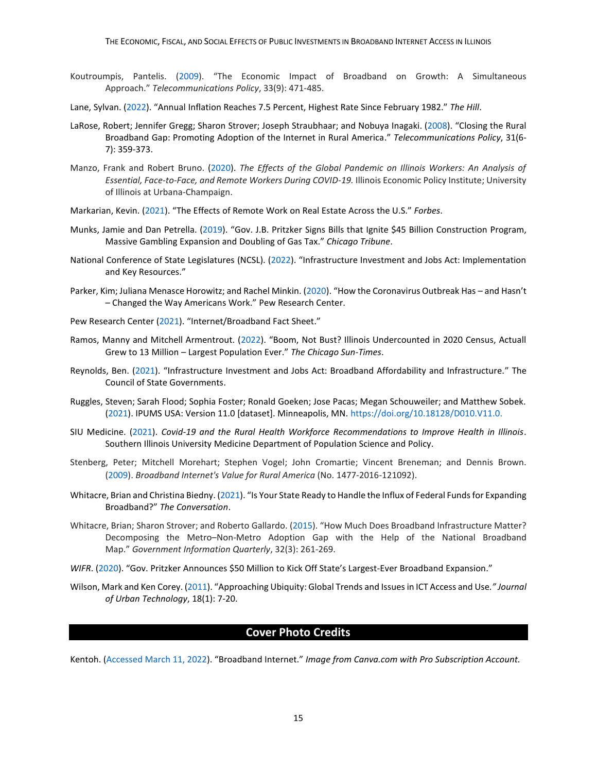- Koutroumpis, Pantelis. [\(2009\)](https://pdf.sciencedirectassets.com/271735/1-s2.0-S0308596109X00078/1-s2.0-S0308596109000767/main.pdf?X-Amz-Security-Token=IQoJb3JpZ2luX2VjECQaCXVzLWVhc3QtMSJIMEYCIQCI0YpR3Aprq8UcPLuUWYexFgdqSpxrwBZQXGwEjdnpWgIhAO8ryHQGq740KG3az6dWzb%2FGuCZ0SLD7w8NFUDgPUM4yKvoDCH0QBBoMMDU5MDAzNTQ2ODY1IgyGiCjNb8NC7VpjIRMq1wMtkMOwIKFgoiqf%2FeFwlndoz5DFb4cWxuk63IjvadEfFoZdkr4rAFIp3Is0IJoqUxp0aEGU3vG1wq5JbjUtC%2F32eJus5JTemjpwTy%2FbfBa22%2FkdZU5ubtrPoiQa7L4HhUblHQxIQCYTwm9w75xm6llWvdp4I1BouW7NDunNsbtwS0bLAKF6LE%2FHrCWty9Zw1qN6tG2CuKH15OwpAxJXs7YDQpj6dISQa6EmoNjYikGiLAtVqmfI%2Bmbo2zmvv%2FDCiW7MIEmlnum0QMXKunBbNnAx%2BZRMcqwcuRvKCR4guAvFZhyUFSGKVQjuUqXbL%2FqOlcW85Cc8J1A8%2Bg1o4dvmzDpHWv%2BAxlUnm5dCtTCvKSz%2BRPSjIvrXl0K5XdhL5MoHNzSxHaH8B057SNE4RDOD3oyCdjaRtg4mvwk4xmhpquOwJMG4cDki6%2FNa7Y2hb0ZEV8RAZrEfPIGL1wwX4zgLaDKtzrvsaHXHn3UvRr3mK0KCYChPRhGphZklulkjHSbChaiZItQoapnkSDpB%2BciuYU4raiZwVyJ2yjmJzGNsPXSQz%2FvcemDwpwmjXMkxMpAhrPo3bZX31dlz3ah3OGUHHY2C8k516MeoYHD2r3XOiD8H9nfa0wgbHaUw2KXakAY6pAFAyHyo84aqD1GaMrP97Caq7S%2FY9PuTd67seQjAdgkujoxJFXcqoCDFMnEgRu2tkAUaTkvf6mEX8K2d%2FLtIUB0hF3BLYLtFGLwqzZreC31LCYN559v2Jk2nbNVWIKc%2BjwC0PUDqxOdRwcatrbUPE7HLUo7kxSxg18ox3d8lV17uWCurHz8t4zqqvr5tm2dzChHtcm3kgx8CQgnZ0UTpqOUePQMRqQ%3D%3D&X-Amz-Algorithm=AWS4-HMAC-SHA256&X-Amz-Date=20220223T204018Z&X-Amz-SignedHeaders=host&X-Amz-Expires=300&X-Amz-Credential=ASIAQ3PHCVTYZD3AHXV4%2F20220223%2Fus-east-1%2Fs3%2Faws4_request&X-Amz-Signature=4da112f6acdcfc48ba828289226a8060d6b68dca5be6eed7e40fb27a7af2b301&hash=3e32402fbb0216514207938d570c88dcef9ba2603b138936bbfb998631ec8fa5&host=68042c943591013ac2b2430a89b270f6af2c76d8dfd086a07176afe7c76c2c61&pii=S0308596109000767&tid=spdf-c7652e6a-fbeb-4aaf-82ca-3dd6519b179a&sid=358184481e1ad14c1a1b3d7520720a54681cgxrqa&type=client&ua=570454515b54030c04&rr=6e2344bcd9ce2d6d). "The Economic Impact of Broadband on Growth: A Simultaneous Approach." *Telecommunications Policy*, 33(9): 471-485.
- Lane, Sylvan. [\(2022](https://thehill.com/policy/finance/593652-annual-inflation-reaches-75-percent-highest-rate-since-february-1982)). "Annual Inflation Reaches 7.5 Percent, Highest Rate Since February 1982." *The Hill*.
- LaRose, Robert; Jennifer Gregg; Sharon Strover; Joseph Straubhaar; and Nobuya Inagaki. [\(2008\)](https://www.sciencedirect.com/science/article/pii/S0308596107000444?casa_token=Z93MG-sjDdMAAAAA:A7wcrqLJpjllxwtJ_WqGG8UN9AHd5f1ICMU9D53_KRsez-I5ihgjmd7NRB5aNC5NNCBWRDwt0Q). "Closing the Rural Broadband Gap: Promoting Adoption of the Internet in Rural America." *Telecommunications Policy*, 31(6- 7): 359-373.
- Manzo, Frank and Robert Bruno. [\(2020\)](https://illinoisepi.files.wordpress.com/2020/06/ilepi-pmcr-effects-of-global-pandemic-on-illinois-workers-final-6.4.20.pdf). *The Effects of the Global Pandemic on Illinois Workers: An Analysis of Essential, Face-to-Face, and Remote Workers During COVID-19.* Illinois Economic Policy Institute; University of Illinois at Urbana-Champaign.
- Markarian, Kevin. [\(2021](https://www.forbes.com/sites/forbesrealestatecouncil/2021/04/23/the-effects-of-remote-work-on-real-estate-across-the-us/?sh=16bb804062a3)). "The Effects of Remote Work on Real Estate Across the U.S." *Forbes*.
- Munks, Jamie and Dan Petrella. [\(2019](https://www.chicagotribune.com/politics/ct-jb-pritzker-gambling-construction-bills-gas-tax-signed-20190628-inux5umelbewje5zzdrpphz3ze-story.html)). "Gov. J.B. Pritzker Signs Bills that Ignite \$45 Billion Construction Program, Massive Gambling Expansion and Doubling of Gas Tax." *Chicago Tribune*.
- National Conference of State Legislatures (NCSL). [\(2022\)](https://www.ncsl.org/ncsl-in-dc/publications-and-resources/infrastructure-investment-and-jobs-act-implementation-and-resources.aspx). "Infrastructure Investment and Jobs Act: Implementation and Key Resources."
- Parker, Kim; Juliana Menasce Horowitz; and Rachel Minkin. [\(2020](https://www.pewresearch.org/social-trends/2020/12/09/how-the-coronavirus-outbreak-has-and-hasnt-changed-the-way-americans-work/)). "How the Coronavirus Outbreak Has and Hasn't – Changed the Way Americans Work." Pew Research Center.
- Pew Research Center [\(2021\)](https://www.pewresearch.org/internet/fact-sheet/internet-broadband/). "Internet/Broadband Fact Sheet."
- Ramos, Manny and Mitchell Armentrout. [\(2022](https://chicago.suntimes.com/2022/5/19/23131741/illinois-2020-census-undercount-population-gain-pritzker-welch-democrats-republican-trump?fbclid=IwAR0hvUGu4QQ-Z9XOdJsSwqJGzXMFjyQTXubTUym8gm10oiNZiu5CBZ9v8YU)). "Boom, Not Bust? Illinois Undercounted in 2020 Census, Actuall Grew to 13 Million – Largest Population Ever." *The Chicago Sun-Times*.
- Reynolds, Ben. [\(2021\)](https://www.csg.org/2021/11/15/infrastructure-investment-and-jobs-act-broadband-affordability-and-infrastructure/). "Infrastructure Investment and Jobs Act: Broadband Affordability and Infrastructure." The Council of State Governments.
- Ruggles, Steven; Sarah Flood; Sophia Foster; Ronald Goeken; Jose Pacas; Megan Schouweiler; and Matthew Sobek. [\(2021\)](https://usa.ipums.org/usa/cite.shtml). IPUMS USA: Version 11.0 [dataset]. Minneapolis, MN[. https://doi.org/10.18128/D010.V11.0.](https://doi.org/10.18128/D010.V11.0)
- SIU Medicine. [\(2021\)](https://icahn.org/wp-content/uploads/2021/10/RHS_Rural_Health_Workforce.pdf). *Covid-19 and the Rural Health Workforce Recommendations to Improve Health in Illinois*. Southern Illinois University Medicine Department of Population Science and Policy.
- Stenberg, Peter; Mitchell Morehart; Stephen Vogel; John Cromartie; Vincent Breneman; and Dennis Brown. [\(2009\)](https://ageconsearch.umn.edu/record/55944/). *Broadband Internet's Value for Rural America* (No. 1477-2016-121092).
- Whitacre, Brian and Christina Biedny. [\(2021\)](https://theconversation.com/is-your-state-ready-to-handle-the-influx-of-federal-funds-for-expanding-broadband-172131). "Is Your State Ready to Handle the Influx of Federal Funds for Expanding Broadband?" *The Conversation*.
- Whitacre, Brian; Sharon Strover; and Roberto Gallardo. [\(2015\)](https://www.sciencedirect.com/science/article/pii/S0740624X15000325). "How Much Does Broadband Infrastructure Matter? Decomposing the Metro–Non-Metro Adoption Gap with the Help of the National Broadband Map." *Government Information Quarterly*, 32(3): 261-269.
- *WIFR*. [\(2020](https://www.wifr.com/content/news/Gov-Pritzker-announces-50-million-to-kick-off-states-largest-ever-broadband-expansion-571467971.html)). "Gov. Pritzker Announces \$50 Million to Kick Off State's Largest-Ever Broadband Expansion."
- Wilson, Mark and Ken Corey. [\(2011\)](https://www.researchgate.net/publication/233310727_Approaching_Ubiquity_Global_Trends_and_Issues_in_ICT_Access_and_Use). "Approaching Ubiquity: Global Trends and Issues in ICT Access and Use*." Journal of Urban Technology*, 18(1): 7-20.

#### **Cover Photo Credits**

Kentoh. [\(Accessed March 11, 2022\)](https://www.canva.com/photos/MADOCzbcPro-broadband-internet/). "Broadband Internet." *Image from Canva.com with Pro Subscription Account.*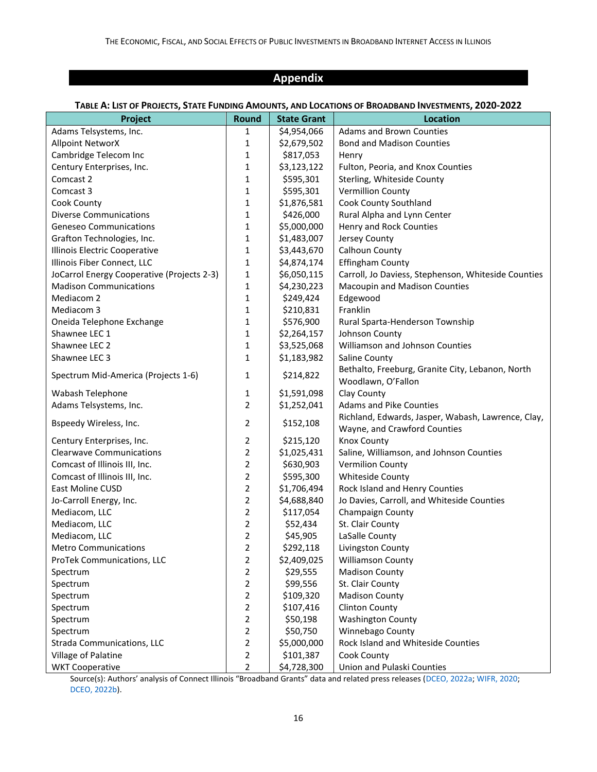## **Appendix**

#### TABLE A: LIST OF PROJECTS, STATE FUNDING AMOUNTS, AND LOCATIONS OF BROADBAND INVESTMENTS, 2020-2022

| Project                                    | Round          | <b>State Grant</b> | <b>Location</b>                                     |
|--------------------------------------------|----------------|--------------------|-----------------------------------------------------|
| Adams Telsystems, Inc.                     | 1              | \$4,954,066        | <b>Adams and Brown Counties</b>                     |
| <b>Allpoint NetworX</b>                    | $\mathbf{1}$   | \$2,679,502        | <b>Bond and Madison Counties</b>                    |
| Cambridge Telecom Inc                      | $\mathbf{1}$   | \$817,053          | Henry                                               |
| Century Enterprises, Inc.                  | $\mathbf{1}$   | \$3,123,122        | Fulton, Peoria, and Knox Counties                   |
| Comcast 2                                  | 1              | \$595,301          | Sterling, Whiteside County                          |
| Comcast 3                                  | 1              | \$595,301          | <b>Vermillion County</b>                            |
| Cook County                                | $\mathbf{1}$   | \$1,876,581        | Cook County Southland                               |
| <b>Diverse Communications</b>              | 1              | \$426,000          | Rural Alpha and Lynn Center                         |
| <b>Geneseo Communications</b>              | 1              | \$5,000,000        | Henry and Rock Counties                             |
| Grafton Technologies, Inc.                 | 1              | \$1,483,007        | Jersey County                                       |
| Illinois Electric Cooperative              | $\mathbf{1}$   | \$3,443,670        | Calhoun County                                      |
| Illinois Fiber Connect, LLC                | 1              | \$4,874,174        | <b>Effingham County</b>                             |
| JoCarrol Energy Cooperative (Projects 2-3) | $\mathbf{1}$   | \$6,050,115        | Carroll, Jo Daviess, Stephenson, Whiteside Counties |
| <b>Madison Communications</b>              | $\mathbf{1}$   | \$4,230,223        | Macoupin and Madison Counties                       |
| Mediacom 2                                 | $\mathbf{1}$   | \$249,424          | Edgewood                                            |
| Mediacom 3                                 | $\mathbf{1}$   | \$210,831          | Franklin                                            |
| Oneida Telephone Exchange                  | $\mathbf{1}$   | \$576,900          | Rural Sparta-Henderson Township                     |
| Shawnee LEC 1                              | $\mathbf{1}$   | \$2,264,157        | Johnson County                                      |
| Shawnee LEC 2                              | $\mathbf{1}$   | \$3,525,068        | Williamson and Johnson Counties                     |
| Shawnee LEC 3                              | $\mathbf{1}$   | \$1,183,982        | Saline County                                       |
|                                            |                |                    | Bethalto, Freeburg, Granite City, Lebanon, North    |
| Spectrum Mid-America (Projects 1-6)        | $\mathbf{1}$   | \$214,822          | Woodlawn, O'Fallon                                  |
| Wabash Telephone                           | 1              | \$1,591,098        | Clay County                                         |
| Adams Telsystems, Inc.                     | $\overline{2}$ | \$1,252,041        | <b>Adams and Pike Counties</b>                      |
|                                            |                |                    | Richland, Edwards, Jasper, Wabash, Lawrence, Clay,  |
| Bspeedy Wireless, Inc.                     | $\overline{2}$ | \$152,108          | Wayne, and Crawford Counties                        |
| Century Enterprises, Inc.                  | $\overline{2}$ | \$215,120          | <b>Knox County</b>                                  |
| <b>Clearwave Communications</b>            | $\overline{2}$ | \$1,025,431        | Saline, Williamson, and Johnson Counties            |
| Comcast of Illinois III, Inc.              | $\overline{2}$ | \$630,903          | <b>Vermilion County</b>                             |
| Comcast of Illinois III, Inc.              | $\overline{2}$ | \$595,300          | Whiteside County                                    |
| East Moline CUSD                           | $\overline{2}$ | \$1,706,494        | Rock Island and Henry Counties                      |
| Jo-Carroll Energy, Inc.                    | $\overline{2}$ | \$4,688,840        | Jo Davies, Carroll, and Whiteside Counties          |
| Mediacom, LLC                              | $\overline{2}$ | \$117,054          | Champaign County                                    |
| Mediacom, LLC                              | $\overline{2}$ | \$52,434           | St. Clair County                                    |
| Mediacom, LLC                              | $\overline{2}$ | \$45,905           | LaSalle County                                      |
| <b>Metro Communications</b>                | $\overline{2}$ | \$292,118          | Livingston County                                   |
| ProTek Communications, LLC                 | $\overline{2}$ | \$2,409,025        | <b>Williamson County</b>                            |
| Spectrum                                   | $\overline{2}$ | \$29,555           | <b>Madison County</b>                               |
| Spectrum                                   | $\overline{2}$ | \$99,556           | St. Clair County                                    |
| Spectrum                                   | $\overline{2}$ | \$109,320          | <b>Madison County</b>                               |
| Spectrum                                   | $\overline{2}$ | \$107,416          | <b>Clinton County</b>                               |
| Spectrum                                   | $\overline{2}$ | \$50,198           | <b>Washington County</b>                            |
| Spectrum                                   | $\overline{2}$ | \$50,750           | Winnebago County                                    |
| Strada Communications, LLC                 | $\overline{2}$ | \$5,000,000        | Rock Island and Whiteside Counties                  |
| Village of Palatine                        | $\overline{2}$ | \$101,387          | Cook County                                         |
| <b>WKT Cooperative</b>                     | $\overline{2}$ | \$4,728,300        | Union and Pulaski Counties                          |

Source(s): Authors' analysis of Connect Illinois "Broadband Grants" data and related press releases ([DCEO, 2022a;](https://www2.illinois.gov/dceo/ConnectIllinois/Pages/default.aspx) [WIFR, 2020;](https://www.wifr.com/content/news/Gov-Pritzker-announces-50-million-to-kick-off-states-largest-ever-broadband-expansion-571467971.html) [DCEO, 2022b\)](https://www2.illinois.gov/IISNews/24432-Gov._Pritzker_Announces_$47_Million_in_Broadband_Capital_Investments.pdf).